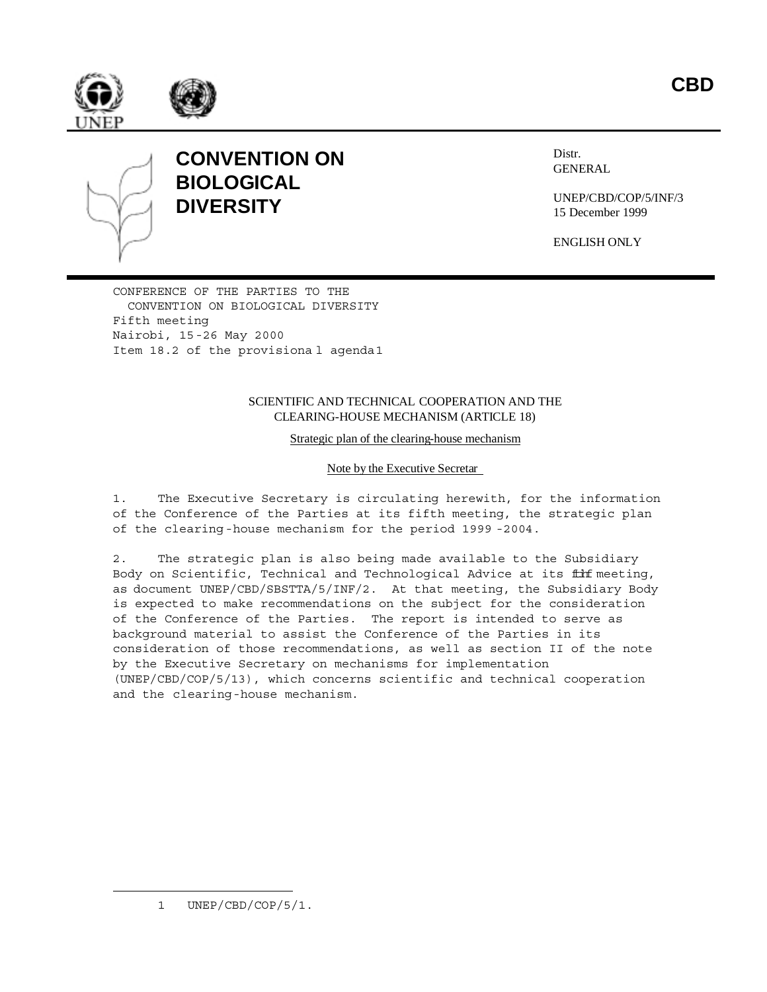





# **CONVENTION ON BIOLOGICAL DIVERSITY**

Distr. GENERAL

UNEP/CBD/COP/5/INF/3 15 December 1999

ENGLISH ONLY

CONFERENCE OF THE PARTIES TO THE CONVENTION ON BIOLOGICAL DIVERSITY Fifth meeting Nairobi, 15-26 May 2000 Item 18.2 of the provisiona l agenda1

#### SCIENTIFIC AND TECHNICAL COOPERATION AND THE CLEARING-HOUSE MECHANISM (ARTICLE 18)

Strategic plan of the clearing-house mechanism

Note by the Executive Secretar

1. The Executive Secretary is circulating herewith, for the information of the Conference of the Parties at its fifth meeting, the strategic plan of the clearing -house mechanism for the period 1999 -2004.

2. The strategic plan is also being made available to the Subsidiary Body on Scientific, Technical and Technological Advice at its film meeting, as document UNEP/CBD/SBSTTA/5/INF/2. At that meeting, the Subsidiary Body is expected to make recommendations on the subject for the consideration of the Conference of the Parties. The report is intended to serve as background material to assist the Conference of the Parties in its consideration of those recommendations, as well as section II of the note by the Executive Secretary on mechanisms for implementation (UNEP/CBD/COP/5/13), which concerns scientific and technical cooperation and the clearing-house mechanism.

 $\overline{a}$ 

<sup>1</sup> UNEP/CBD/COP/5/1.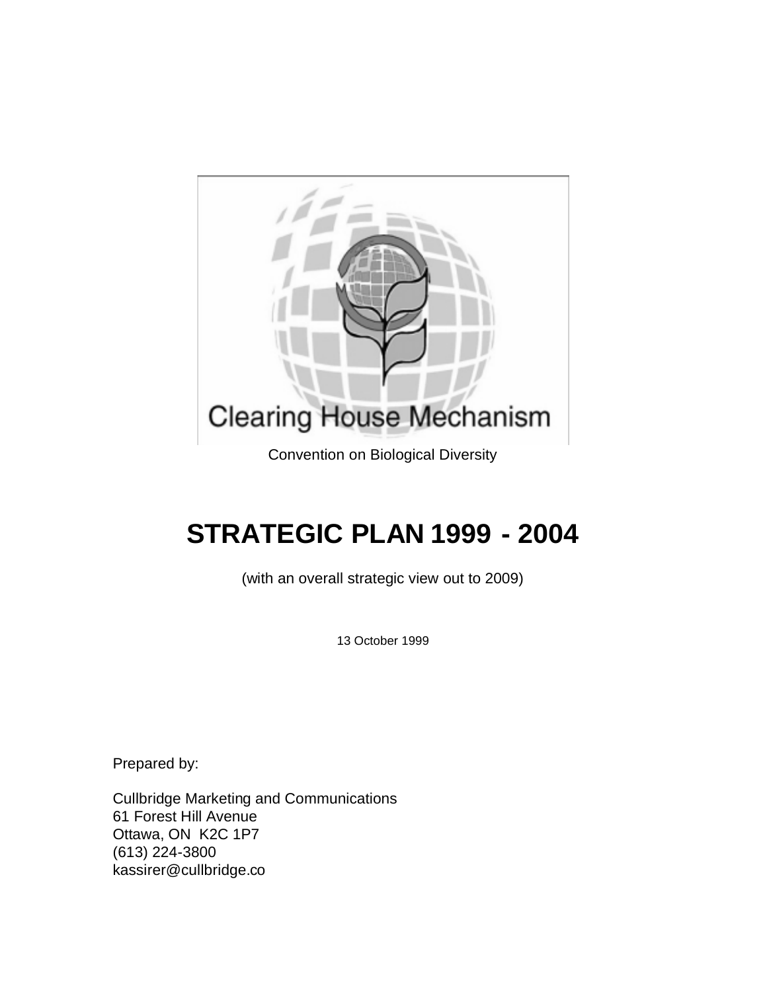

# **STRATEGIC PLAN 1999 - 2004**

(with an overall strategic view out to 2009)

13 October 1999

Prepared by:

Cullbridge Marketing and Communications 61 Forest Hill Avenue Ottawa, ON K2C 1P7 (613) 224-3800 kassirer@cullbridge.co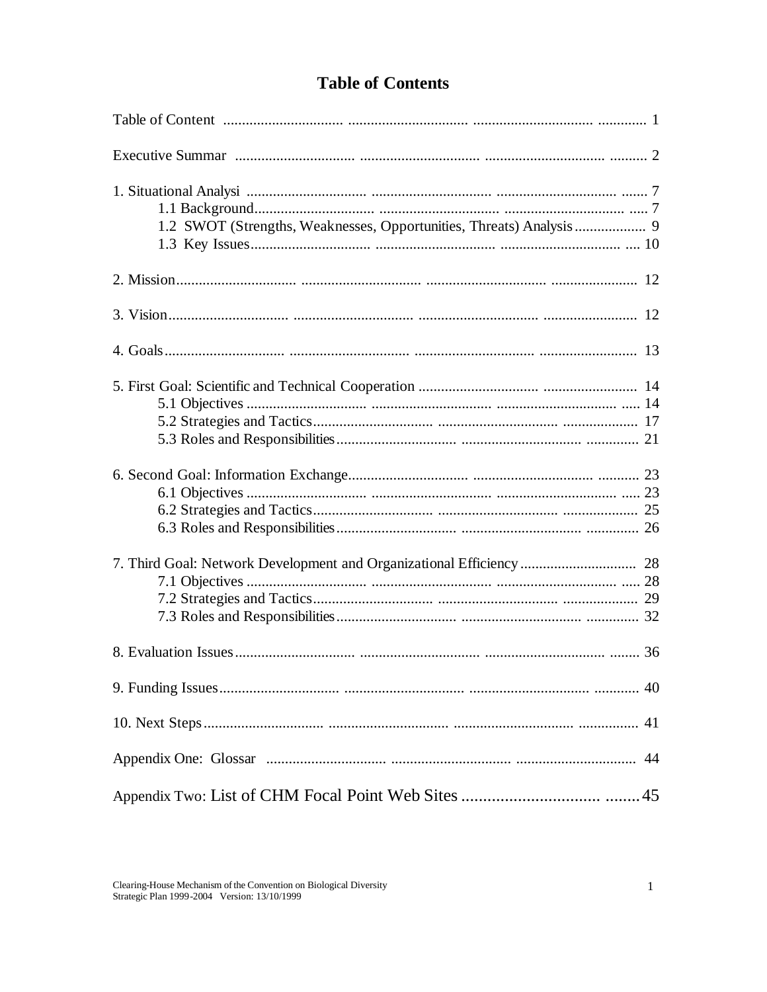| 1.2 SWOT (Strengths, Weaknesses, Opportunities, Threats) Analysis  9 |  |
|----------------------------------------------------------------------|--|
|                                                                      |  |
|                                                                      |  |
|                                                                      |  |
|                                                                      |  |
|                                                                      |  |
|                                                                      |  |
|                                                                      |  |
|                                                                      |  |
|                                                                      |  |
|                                                                      |  |
|                                                                      |  |
|                                                                      |  |
| 7. Third Goal: Network Development and Organizational Efficiency  28 |  |
|                                                                      |  |
|                                                                      |  |
|                                                                      |  |
|                                                                      |  |
|                                                                      |  |
|                                                                      |  |
|                                                                      |  |
|                                                                      |  |

# **Table of Contents**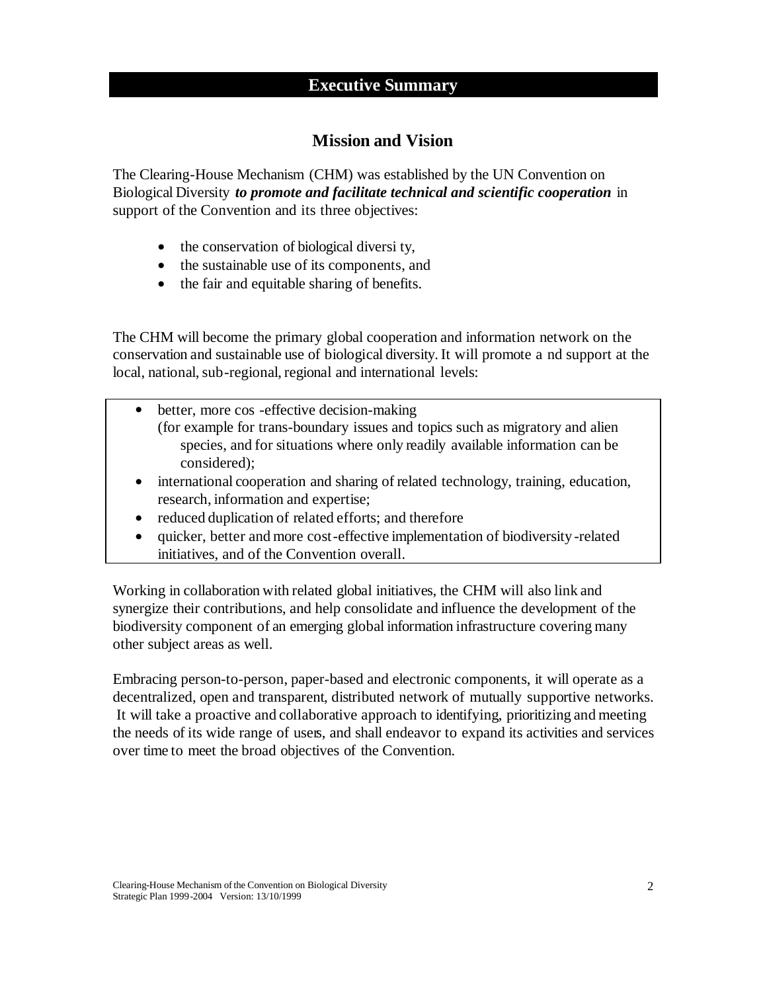# **Executive Summary**

#### **Mission and Vision**

The Clearing-House Mechanism (CHM) was established by the UN Convention on Biological Diversity *to promote and facilitate technical and scientific cooperation* in support of the Convention and its three objectives:

- the conservation of biological diversi ty,
- the sustainable use of its components, and
- the fair and equitable sharing of benefits.

The CHM will become the primary global cooperation and information network on the conservation and sustainable use of biological diversity. It will promote a nd support at the local, national, sub-regional, regional and international levels:

- better, more cos -effective decision-making (for example for trans-boundary issues and topics such as migratory and alien species, and for situations where only readily available information can be considered);
- international cooperation and sharing of related technology, training, education, research, information and expertise;
- reduced duplication of related efforts; and therefore
- quicker, better and more cost-effective implementation of biodiversity-related initiatives, and of the Convention overall.

Working in collaboration with related global initiatives, the CHM will also link and synergize their contributions, and help consolidate and influence the development of the biodiversity component of an emerging global information infrastructure covering many other subject areas as well.

Embracing person-to-person, paper-based and electronic components, it will operate as a decentralized, open and transparent, distributed network of mutually supportive networks. It will take a proactive and collaborative approach to identifying, prioritizing and meeting the needs of its wide range of users, and shall endeavor to expand its activities and services over time to meet the broad objectives of the Convention.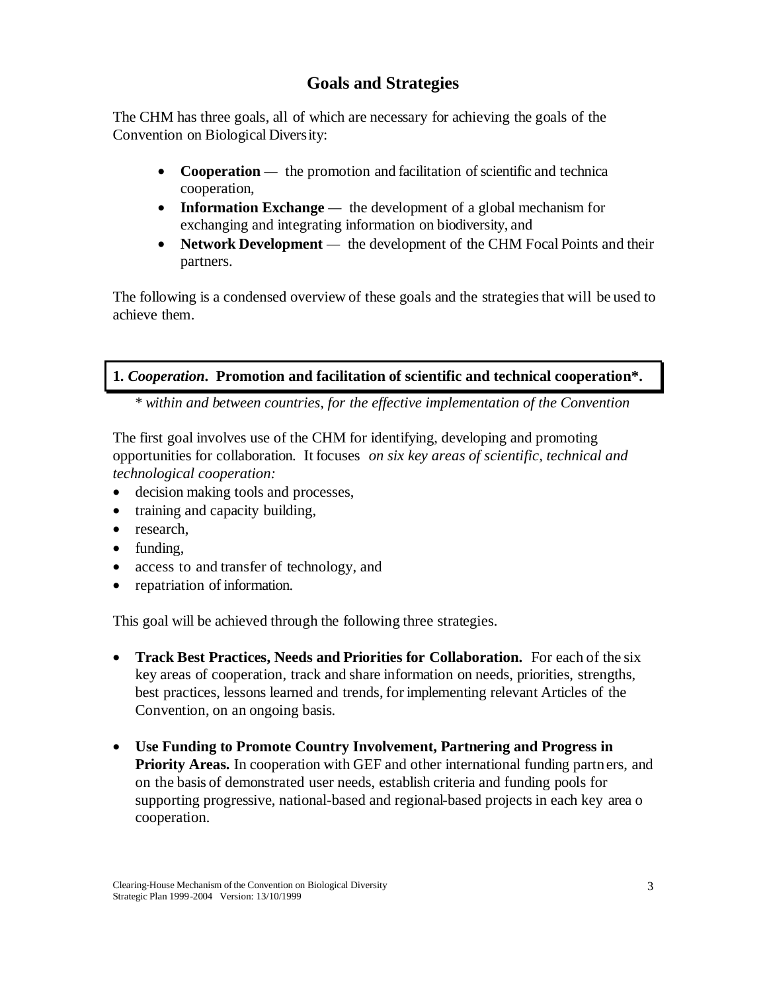# **Goals and Strategies**

The CHM has three goals, all of which are necessary for achieving the goals of the Convention on Biological Diversity:

- **Cooperation** the promotion and facilitation of scientific and technica cooperation,
- **Information Exchange** the development of a global mechanism for exchanging and integrating information on biodiversity, and
- **Network Development** the development of the CHM Focal Points and their partners.

The following is a condensed overview of these goals and the strategies that will be used to achieve them.

# **1.** *Cooperation***. Promotion and facilitation of scientific and technical cooperation\*.**

*\* within and between countries, for the effective implementation of the Convention* 

The first goal involves use of the CHM for identifying, developing and promoting opportunities for collaboration. It focuses *on six key areas of scientific, technical and technological cooperation:* 

- decision making tools and processes,
- training and capacity building,
- research.
- funding,
- access to and transfer of technology, and
- repatriation of information.

This goal will be achieved through the following three strategies.

- **Track Best Practices, Needs and Priorities for Collaboration.** For each of the six key areas of cooperation, track and share information on needs, priorities, strengths, best practices, lessons learned and trends, for implementing relevant Articles of the Convention, on an ongoing basis.
- **Use Funding to Promote Country Involvement, Partnering and Progress in Priority Areas.** In cooperation with GEF and other international funding partners, and on the basis of demonstrated user needs, establish criteria and funding pools for supporting progressive, national-based and regional-based projects in each key area o cooperation*.*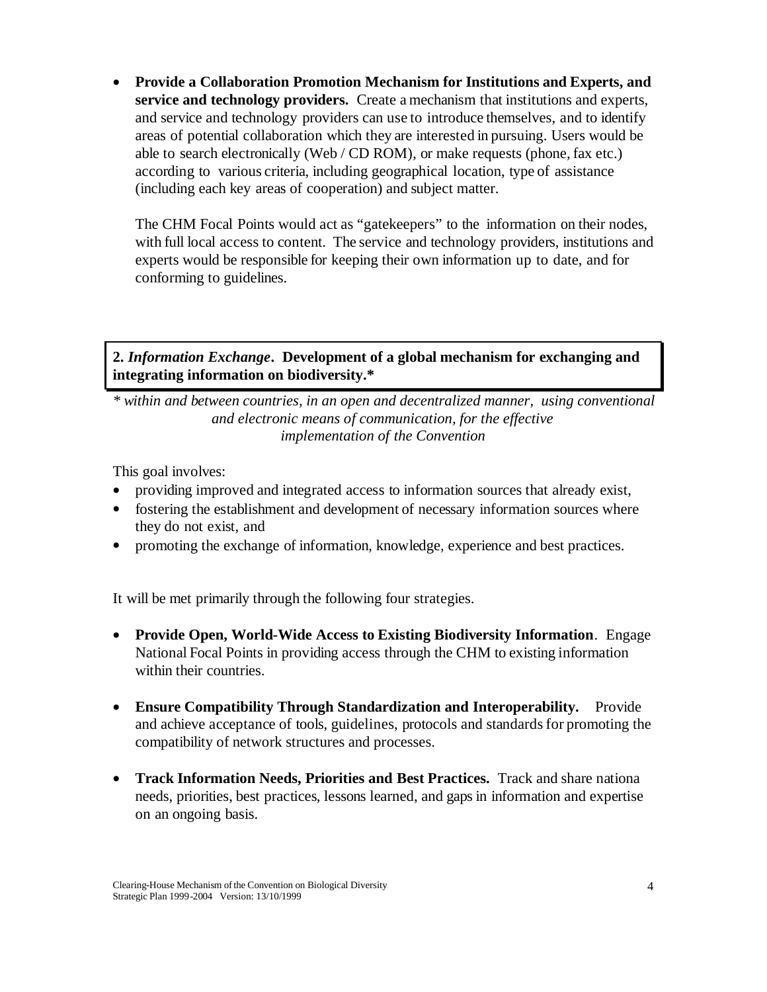• **Provide a Collaboration Promotion Mechanism for Institutions and Experts, and service and technology providers.** Create a mechanism that institutions and experts, and service and technology providers can use to introduce themselves, and to identify areas of potential collaboration which they are interested in pursuing. Users would be able to search electronically (Web / CD ROM), or make requests (phone, fax etc.) according to various criteria, including geographical location, type of assistance (including each key areas of cooperation) and subject matter.

The CHM Focal Points would act as "gatekeepers" to the information on their nodes, with full local access to content. The service and technology providers, institutions and experts would be responsible for keeping their own information up to date, and for conforming to guidelines.

**2.** *Information Exchange***. Development of a global mechanism for exchanging and integrating information on biodiversity.\***

*\* within and between countries, in an open and decentralized manner, using conventional and electronic means of communication, for the effective implementation of the Convention* 

This goal involves:

- providing improved and integrated access to information sources that already exist,
- fostering the establishment and development of necessary information sources where they do not exist, and
- promoting the exchange of information, knowledge, experience and best practices.

It will be met primarily through the following four strategies.

- **Provide Open, World-Wide Access to Existing Biodiversity Information**. Engage National Focal Points in providing access through the CHM to existing information within their countries.
- **Ensure Compatibility Through Standardization and Interoperability.** Provide and achieve acceptance of tools, guidelines, protocols and standards for promoting the compatibility of network structures and processes.
- **Track Information Needs, Priorities and Best Practices.** Track and share nationa needs, priorities, best practices, lessons learned, and gaps in information and expertise on an ongoing basis.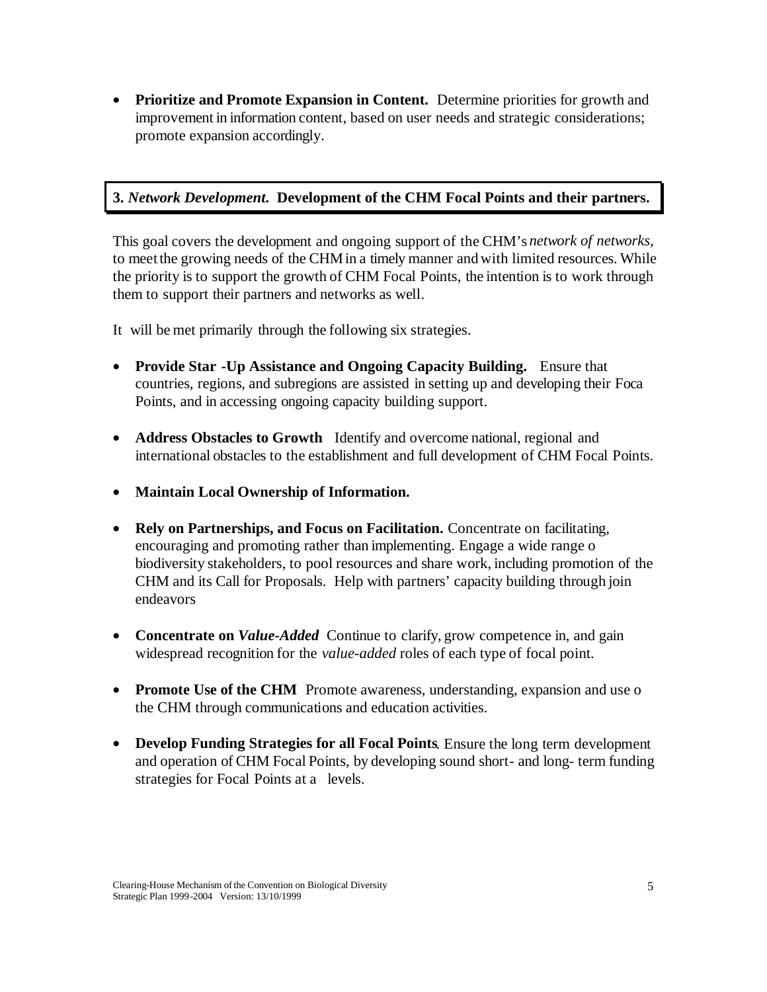• **Prioritize and Promote Expansion in Content.** Determine priorities for growth and improvement in information content, based on user needs and strategic considerations; promote expansion accordingly.

#### **3.** *Network Development***. Development of the CHM Focal Points and their partners.**

This goal covers the development and ongoing support of the CHM's *network of networks,*  to meet the growing needs of the CHM in a timely manner and with limited resources. While the priority is to support the growth of CHM Focal Points, the intention is to work through them to support their partners and networks as well.

It will be met primarily through the following six strategies.

- **Provide Star -Up Assistance and Ongoing Capacity Building.** Ensure that countries, regions, and subregions are assisted in setting up and developing their Foca Points, and in accessing ongoing capacity building support.
- **Address Obstacles to Growth** Identify and overcome national, regional and international obstacles to the establishment and full development of CHM Focal Points.
- **Maintain Local Ownership of Information.**
- **Rely on Partnerships, and Focus on Facilitation.** Concentrate on facilitating, encouraging and promoting rather than implementing. Engage a wide range o biodiversity stakeholders, to pool resources and share work, including promotion of the CHM and its Call for Proposals. Help with partners' capacity building through join endeavors
- **Concentrate on** *Value-Added* Continue to clarify, grow competence in, and gain widespread recognition for the *value-added* roles of each type of focal point.
- **Promote Use of the CHM** Promote awareness, understanding, expansion and use o the CHM through communications and education activities.
- **Develop Funding Strategies for all Focal Points**. Ensure the long term development and operation of CHM Focal Points, by developing sound short- and long- term funding strategies for Focal Points at a levels.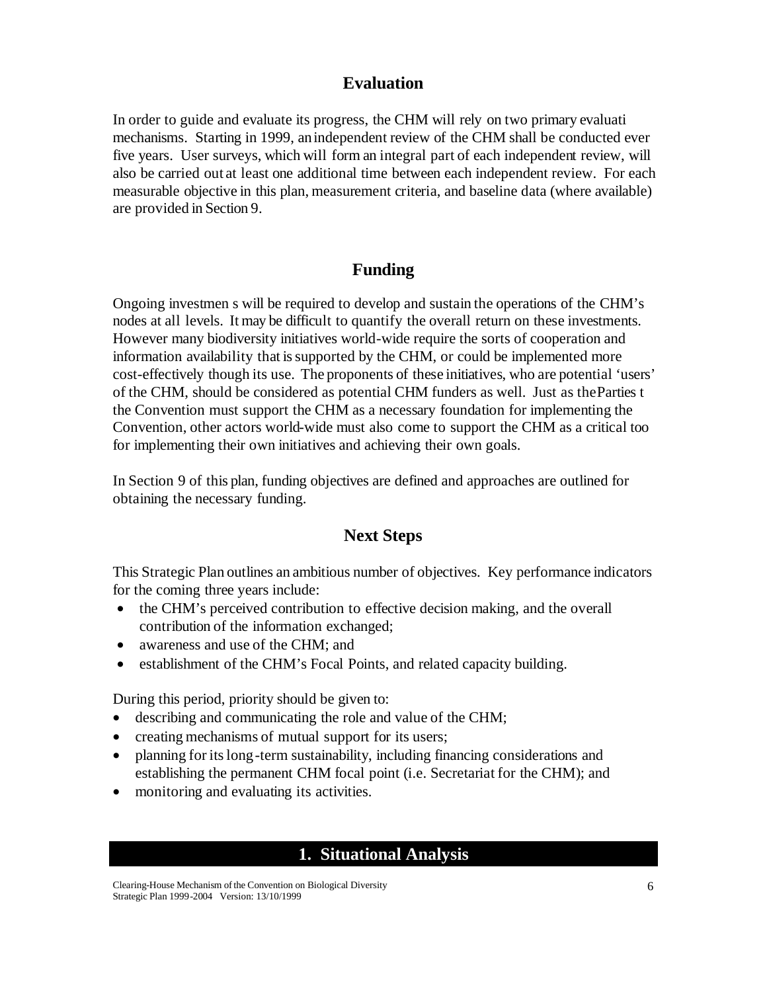#### **Evaluation**

In order to guide and evaluate its progress, the CHM will rely on two primary evaluati mechanisms. Starting in 1999, an independent review of the CHM shall be conducted ever five years. User surveys, which will form an integral part of each independent review, will also be carried out at least one additional time between each independent review. For each measurable objective in this plan, measurement criteria, and baseline data (where available) are provided in Section 9.

# **Funding**

Ongoing investmen s will be required to develop and sustain the operations of the CHM's nodes at all levels. It may be difficult to quantify the overall return on these investments. However many biodiversity initiatives world-wide require the sorts of cooperation and information availability that is supported by the CHM, or could be implemented more cost-effectively though its use. The proponents of these initiatives, who are potential 'users' of the CHM, should be considered as potential CHM funders as well. Just as the Parties t the Convention must support the CHM as a necessary foundation for implementing the Convention, other actors world-wide must also come to support the CHM as a critical too for implementing their own initiatives and achieving their own goals.

In Section 9 of this plan, funding objectives are defined and approaches are outlined for obtaining the necessary funding.

# **Next Steps**

This Strategic Plan outlines an ambitious number of objectives. Key performance indicators for the coming three years include:

- the CHM's perceived contribution to effective decision making, and the overall contribution of the information exchanged;
- awareness and use of the CHM; and
- establishment of the CHM's Focal Points, and related capacity building.

During this period, priority should be given to:

- describing and communicating the role and value of the CHM;
- creating mechanisms of mutual support for its users;
- planning for its long-term sustainability, including financing considerations and establishing the permanent CHM focal point (i.e. Secretariat for the CHM); and
- monitoring and evaluating its activities.

#### **1. Situational Analysis**

Clearing-House Mechanism of the Convention on Biological Diversity Strategic Plan 1999-2004 Version: 13/10/1999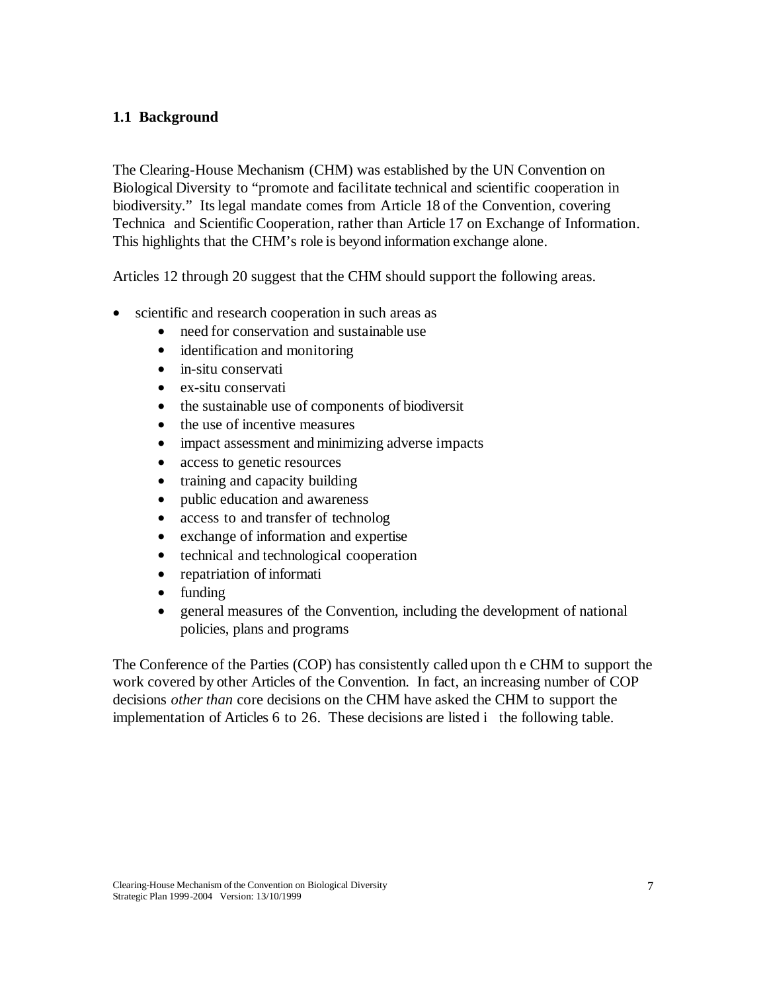#### **1.1 Background**

The Clearing-House Mechanism (CHM) was established by the UN Convention on Biological Diversity to "promote and facilitate technical and scientific cooperation in biodiversity." Its legal mandate comes from Article 18 of the Convention, covering Technica and Scientific Cooperation, rather than Article 17 on Exchange of Information. This highlights that the CHM's role is beyond information exchange alone.

Articles 12 through 20 suggest that the CHM should support the following areas.

- scientific and research cooperation in such areas as
	- need for conservation and sustainable use
	- identification and monitoring
	- in-situ conservati
	- ex-situ conservati
	- the sustainable use of components of biodiversit
	- the use of incentive measures
	- impact assessment and minimizing adverse impacts
	- access to genetic resources
	- training and capacity building
	- public education and awareness
	- access to and transfer of technolog
	- exchange of information and expertise
	- technical and technological cooperation
	- repatriation of informati
	- funding
	- general measures of the Convention, including the development of national policies, plans and programs

The Conference of the Parties (COP) has consistently called upon th e CHM to support the work covered by other Articles of the Convention. In fact, an increasing number of COP decisions *other than* core decisions on the CHM have asked the CHM to support the implementation of Articles 6 to 26. These decisions are listed i the following table.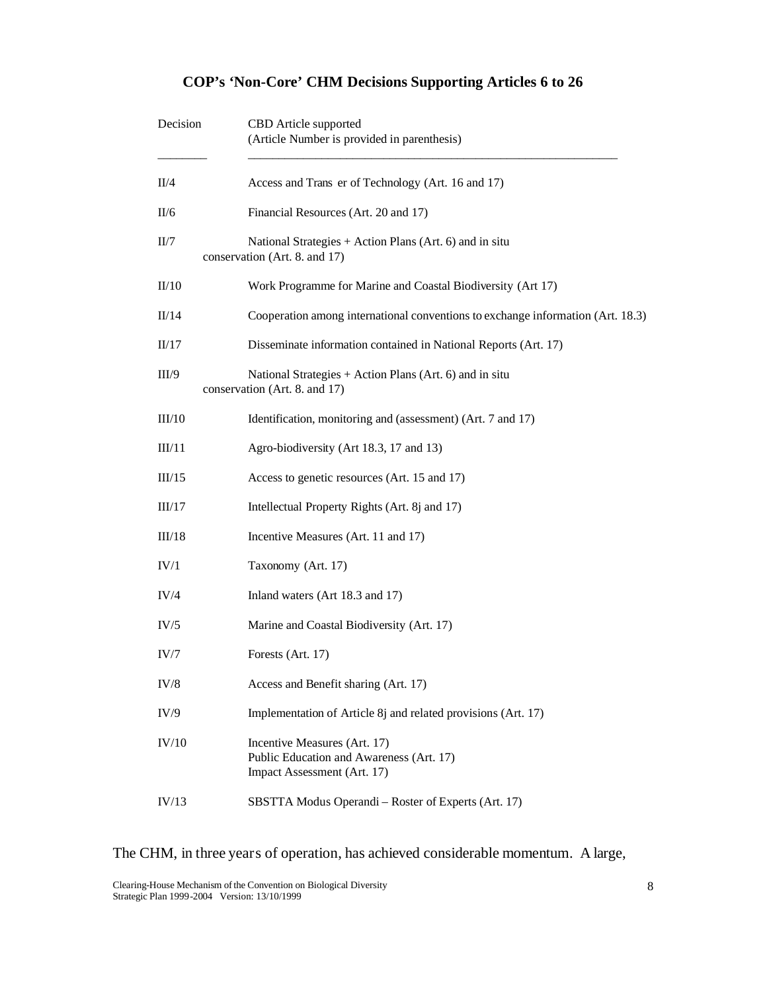# **COP's 'Non-Core' CHM Decisions Supporting Articles 6 to 26**

| Decision   | CBD Article supported<br>(Article Number is provided in parenthesis)                                    |
|------------|---------------------------------------------------------------------------------------------------------|
| II/4       | Access and Trans er of Technology (Art. 16 and 17)                                                      |
| II/6       | Financial Resources (Art. 20 and 17)                                                                    |
| II/7       | National Strategies + Action Plans (Art. 6) and in situ<br>conservation (Art. 8. and 17)                |
| II/10      | Work Programme for Marine and Coastal Biodiversity (Art 17)                                             |
| II/14      | Cooperation among international conventions to exchange information (Art. 18.3)                         |
| II/17      | Disseminate information contained in National Reports (Art. 17)                                         |
| III/9      | National Strategies + Action Plans (Art. 6) and in situ<br>conservation (Art. 8. and 17)                |
| III/10     | Identification, monitoring and (assessment) (Art. 7 and 17)                                             |
| III/11     | Agro-biodiversity (Art 18.3, 17 and 13)                                                                 |
| III/15     | Access to genetic resources (Art. 15 and 17)                                                            |
| III/17     | Intellectual Property Rights (Art. 8j and 17)                                                           |
| III/18     | Incentive Measures (Art. 11 and 17)                                                                     |
| IV/1       | Taxonomy (Art. 17)                                                                                      |
| IV/4       | Inland waters (Art 18.3 and 17)                                                                         |
| IV/5       | Marine and Coastal Biodiversity (Art. 17)                                                               |
| IV/7       | Forests (Art. 17)                                                                                       |
| $\rm IV/8$ | Access and Benefit sharing (Art. 17)                                                                    |
| IV/9       | Implementation of Article 8j and related provisions (Art. 17)                                           |
| IV/10      | Incentive Measures (Art. 17)<br>Public Education and Awareness (Art. 17)<br>Impact Assessment (Art. 17) |
| IV/13      | SBSTTA Modus Operandi – Roster of Experts (Art. 17)                                                     |

The CHM, in three years of operation, has achieved considerable momentum. A large,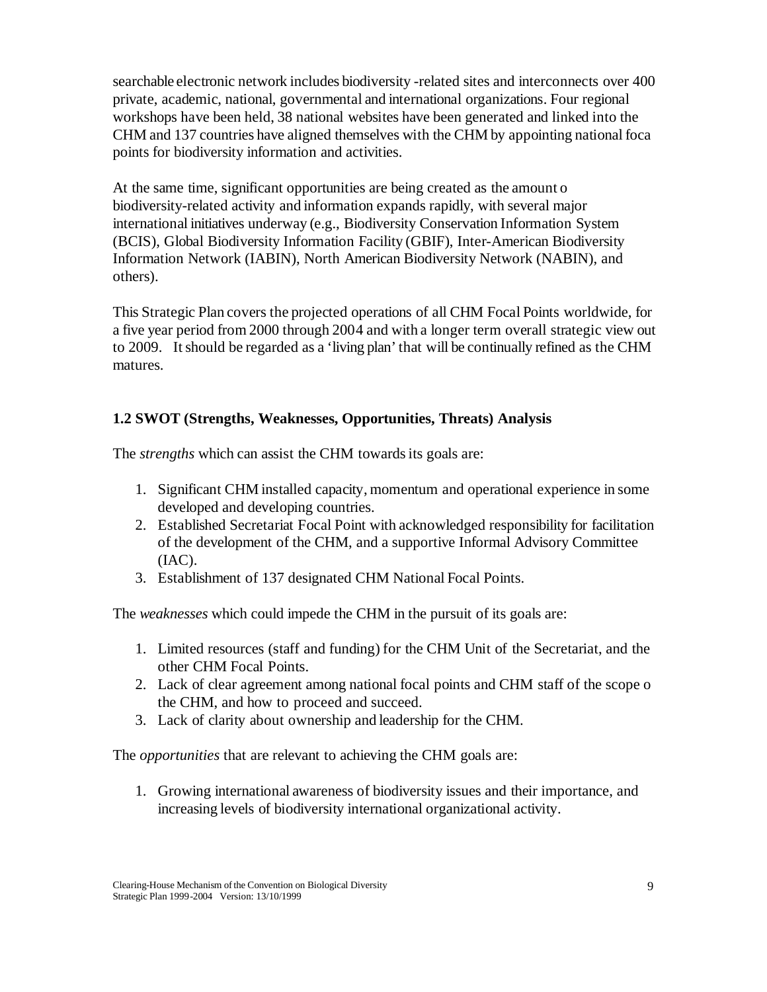searchable electronic network includes biodiversity -related sites and interconnects over 400 private, academic, national, governmental and international organizations. Four regional workshops have been held, 38 national websites have been generated and linked into the CHM and 137 countries have aligned themselves with the CHM by appointing national foca points for biodiversity information and activities.

At the same time, significant opportunities are being created as the amount o biodiversity-related activity and information expands rapidly, with several major international initiatives underway (e.g., Biodiversity Conservation Information System (BCIS), Global Biodiversity Information Facility (GBIF), Inter-American Biodiversity Information Network (IABIN), North American Biodiversity Network (NABIN), and others).

This Strategic Plan covers the projected operations of all CHM Focal Points worldwide, for a five year period from 2000 through 2004 and with a longer term overall strategic view out to 2009. It should be regarded as a 'living plan' that will be continually refined as the CHM matures.

#### **1.2 SWOT (Strengths, Weaknesses, Opportunities, Threats) Analysis**

The *strengths* which can assist the CHM towards its goals are:

- 1. Significant CHM installed capacity, momentum and operational experience in some developed and developing countries.
- 2. Established Secretariat Focal Point with acknowledged responsibility for facilitation of the development of the CHM, and a supportive Informal Advisory Committee  $(IAC).$
- 3. Establishment of 137 designated CHM National Focal Points.

The *weaknesses* which could impede the CHM in the pursuit of its goals are:

- 1. Limited resources (staff and funding) for the CHM Unit of the Secretariat, and the other CHM Focal Points.
- 2. Lack of clear agreement among national focal points and CHM staff of the scope o the CHM, and how to proceed and succeed.
- 3. Lack of clarity about ownership and leadership for the CHM.

The *opportunities* that are relevant to achieving the CHM goals are:

1. Growing international awareness of biodiversity issues and their importance, and increasing levels of biodiversity international organizational activity.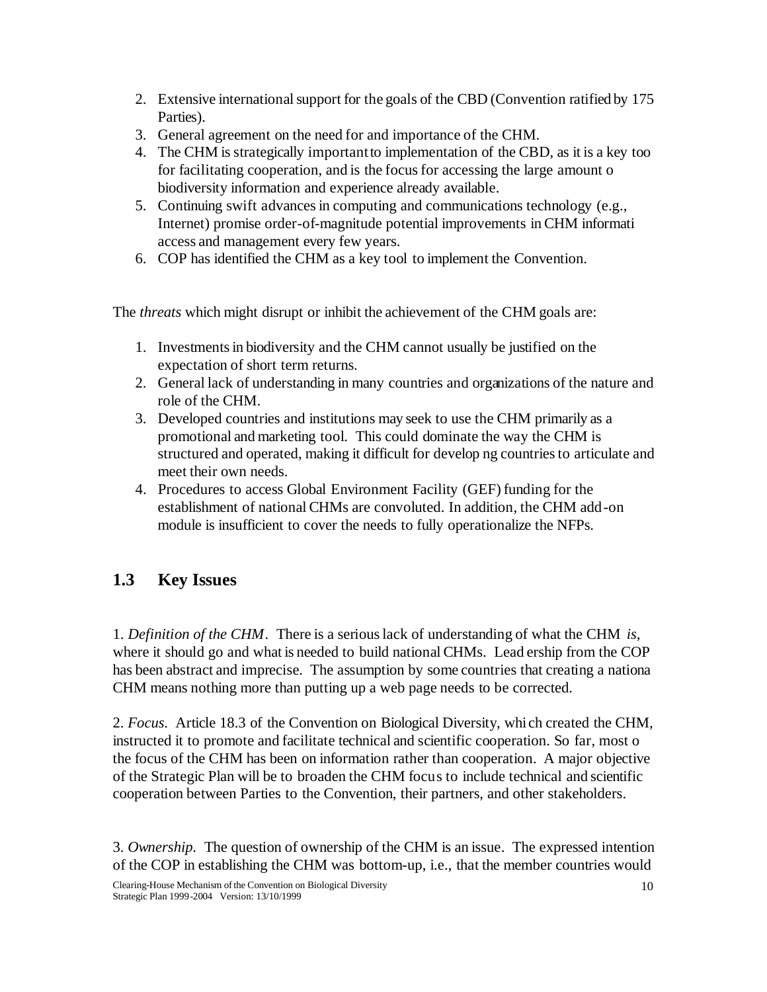- 2. Extensive international support for the goals of the CBD (Convention ratified by 175 Parties).
- 3. General agreement on the need for and importance of the CHM.
- 4. The CHM is strategically important to implementation of the CBD, as it is a key too for facilitating cooperation, and is the focus for accessing the large amount o biodiversity information and experience already available.
- 5. Continuing swift advances in computing and communications technology (e.g., Internet) promise order-of-magnitude potential improvements in CHM informati access and management every few years.
- 6. COP has identified the CHM as a key tool to implement the Convention.

The *threats* which might disrupt or inhibit the achievement of the CHM goals are:

- 1. Investments in biodiversity and the CHM cannot usually be justified on the expectation of short term returns.
- 2. General lack of understanding in many countries and organizations of the nature and role of the CHM.
- 3. Developed countries and institutions may seek to use the CHM primarily as a promotional and marketing tool. This could dominate the way the CHM is structured and operated, making it difficult for develop ng countries to articulate and meet their own needs.
- 4. Procedures to access Global Environment Facility (GEF) funding for the establishment of national CHMs are convoluted. In addition, the CHM add-on module is insufficient to cover the needs to fully operationalize the NFPs.

# **1.3 Key Issues**

1. *Definition of the CHM*. There is a serious lack of understanding of what the CHM *is*, where it should go and what is needed to build national CHMs. Lead ership from the COP has been abstract and imprecise. The assumption by some countries that creating a nationa CHM means nothing more than putting up a web page needs to be corrected.

2. *Focus*. Article 18.3 of the Convention on Biological Diversity, which created the CHM, instructed it to promote and facilitate technical and scientific cooperation. So far, most o the focus of the CHM has been on information rather than cooperation. A major objective of the Strategic Plan will be to broaden the CHM focus to include technical and scientific cooperation between Parties to the Convention, their partners, and other stakeholders.

3. *Ownership*. The question of ownership of the CHM is an issue. The expressed intention of the COP in establishing the CHM was bottom-up, i.e., that the member countries would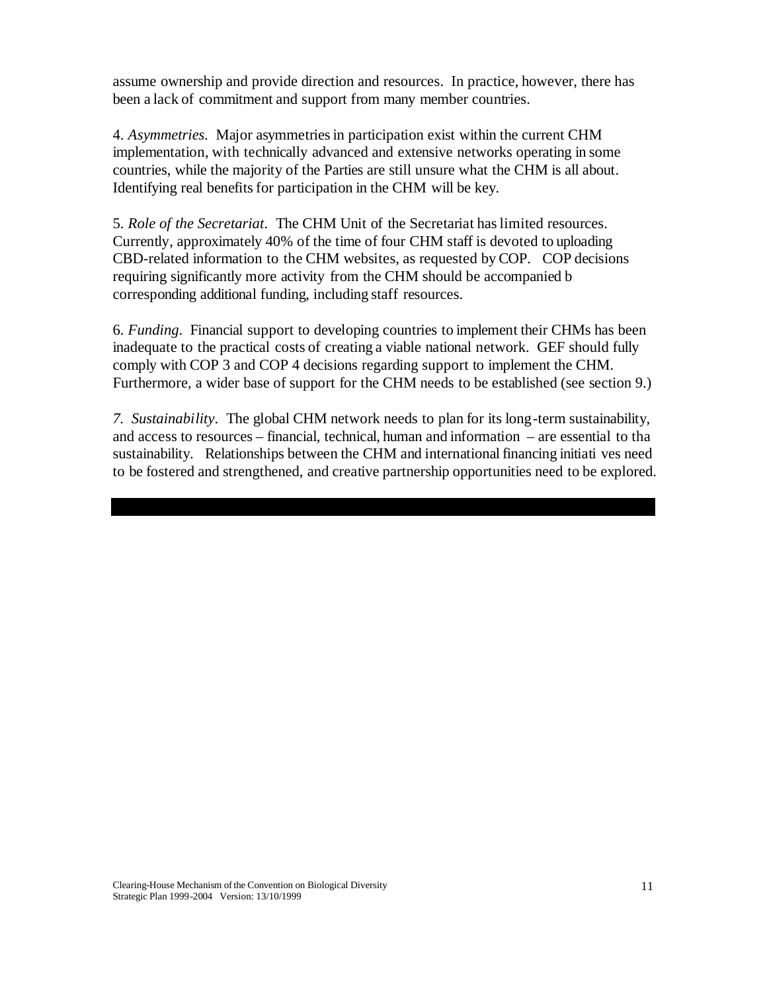assume ownership and provide direction and resources. In practice, however, there has been a lack of commitment and support from many member countries.

4. *Asymmetries*. Major asymmetries in participation exist within the current CHM implementation, with technically advanced and extensive networks operating in some countries, while the majority of the Parties are still unsure what the CHM is all about. Identifying real benefits for participation in the CHM will be key.

5. *Role of the Secretariat*. The CHM Unit of the Secretariat has limited resources. Currently, approximately 40% of the time of four CHM staff is devoted to uploading CBD-related information to the CHM websites, as requested by COP. COP decisions requiring significantly more activity from the CHM should be accompanied b corresponding additional funding, including staff resources.

6. *Funding*. Financial support to developing countries to implement their CHMs has been inadequate to the practical costs of creating a viable national network. GEF should fully comply with COP 3 and COP 4 decisions regarding support to implement the CHM. Furthermore, a wider base of support for the CHM needs to be established (see section 9.)

*7. Sustainability*. The global CHM network needs to plan for its long-term sustainability, and access to resources – financial, technical, human and information – are essential to tha sustainability. Relationships between the CHM and international financing initiati ves need to be fostered and strengthened, and creative partnership opportunities need to be explored.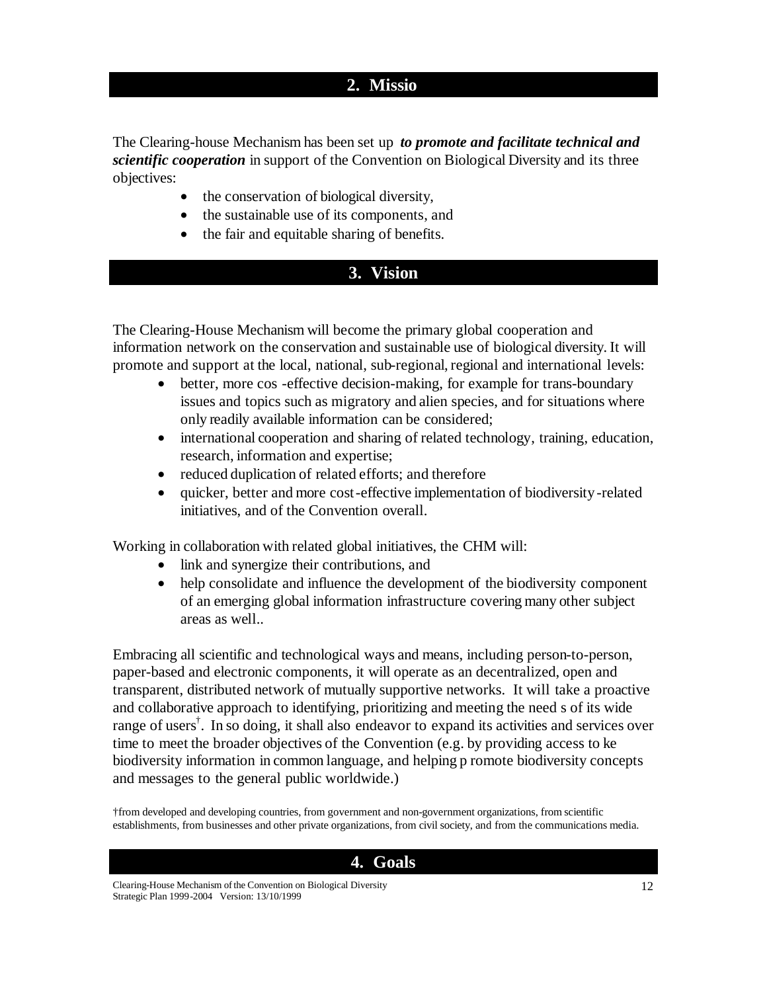#### 2**2. Missio**

The Clearing-house Mechanism has been set up *to promote and facilitate technical and scientific cooperation* in support of the Convention on Biological Diversity and its three objectives:

- the conservation of biological diversity,
- the sustainable use of its components, and
- the fair and equitable sharing of benefits.

#### **3. Vision**

The Clearing-House Mechanism will become the primary global cooperation and information network on the conservation and sustainable use of biological diversity. It will promote and support at the local, national, sub-regional, regional and international levels:

- better, more cos -effective decision-making, for example for trans-boundary issues and topics such as migratory and alien species, and for situations where only readily available information can be considered;
- international cooperation and sharing of related technology, training, education, research, information and expertise;
- reduced duplication of related efforts; and therefore
- quicker, better and more cost-effective implementation of biodiversity-related initiatives, and of the Convention overall.

Working in collaboration with related global initiatives, the CHM will:

- link and synergize their contributions, and
- help consolidate and influence the development of the biodiversity component of an emerging global information infrastructure covering many other subject areas as well..

Embracing all scientific and technological ways and means, including person-to-person, paper-based and electronic components, it will operate as an decentralized, open and transparent, distributed network of mutually supportive networks. It will take a proactive and collaborative approach to identifying, prioritizing and meeting the need s of its wide range of users<sup>†</sup>. In so doing, it shall also endeavor to expand its activities and services over time to meet the broader objectives of the Convention (e.g. by providing access to ke biodiversity information in common language, and helping p romote biodiversity concepts and messages to the general public worldwide.)

†from developed and developing countries, from government and non-government organizations, from scientific establishments, from businesses and other private organizations, from civil society, and from the communications media.

# **4. Goals**

Clearing-House Mechanism of the Convention on Biological Diversity Strategic Plan 1999-2004 Version: 13/10/1999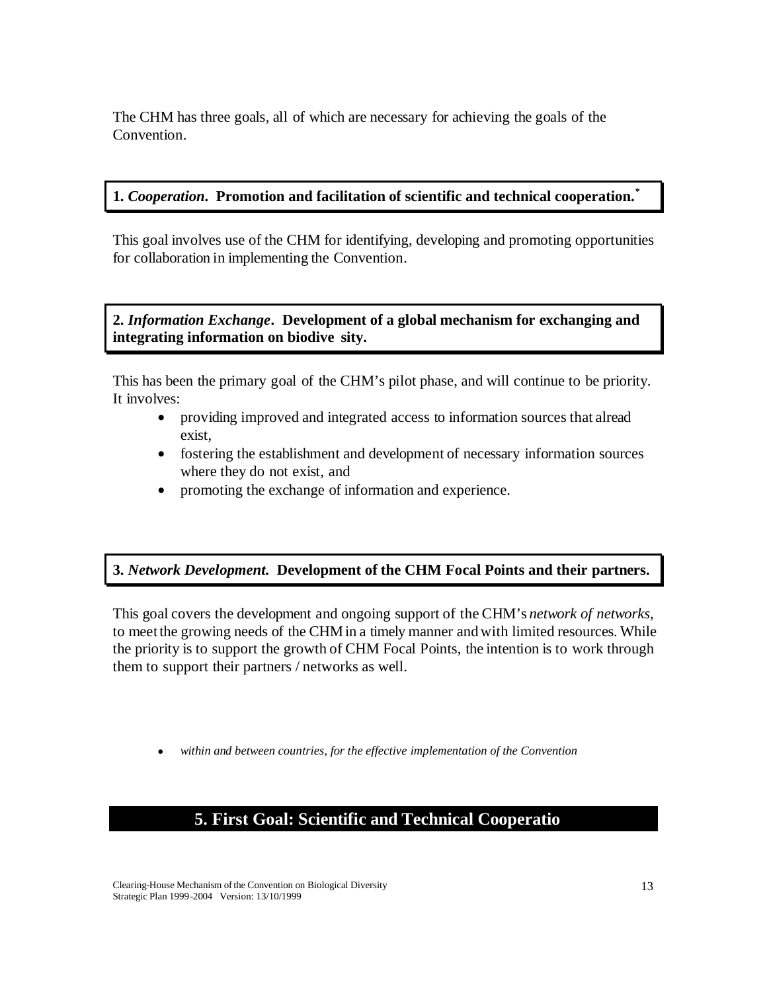The CHM has three goals, all of which are necessary for achieving the goals of the Convention.

#### **1.** *Cooperation***. Promotion and facilitation of scientific and technical cooperation.\***

This goal involves use of the CHM for identifying, developing and promoting opportunities for collaboration in implementing the Convention.

#### **2.** *Information Exchange***. Development of a global mechanism for exchanging and integrating information on biodive sity.**

This has been the primary goal of the CHM's pilot phase, and will continue to be priority. It involves:

- providing improved and integrated access to information sources that alread exist,
- fostering the establishment and development of necessary information sources where they do not exist, and
- promoting the exchange of information and experience.

#### **3.** *Network Development***. Development of the CHM Focal Points and their partners.**

This goal covers the development and ongoing support of the CHM's *network of networks,*  to meet the growing needs of the CHM in a timely manner and with limited resources. While the priority is to support the growth of CHM Focal Points, the intention is to work through them to support their partners / networks as well.

• *within and between countries, for the effective implementation of the Convention* 

# **5. First Goal: Scientific and Technical Cooperatio**

Clearing-House Mechanism of the Convention on Biological Diversity Strategic Plan 1999-2004 Version: 13/10/1999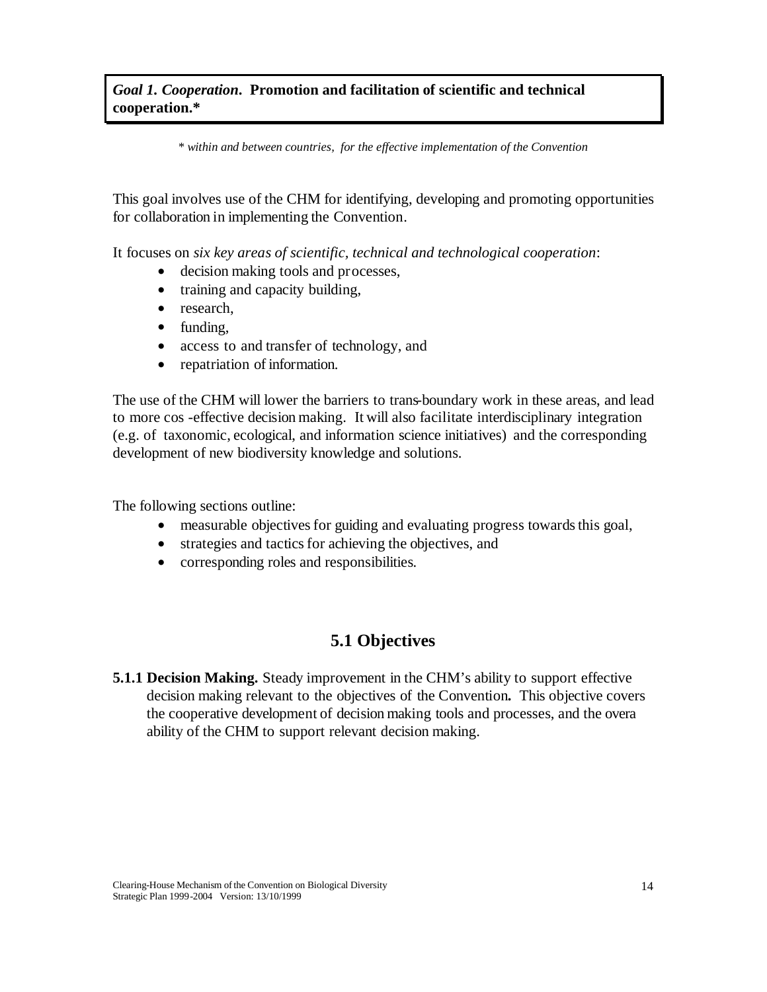#### *Goal 1. Cooperation***. Promotion and facilitation of scientific and technical cooperation.\***

*\* within and between countries, for the effective implementation of the Convention* 

This goal involves use of the CHM for identifying, developing and promoting opportunities for collaboration in implementing the Convention.

It focuses on *six key areas of scientific, technical and technological cooperation*:

- decision making tools and processes,
- training and capacity building,
- research,
- funding,
- access to and transfer of technology, and
- repatriation of information.

The use of the CHM will lower the barriers to trans-boundary work in these areas, and lead to more cos -effective decision making. It will also facilitate interdisciplinary integration (e.g. of taxonomic, ecological, and information science initiatives) and the corresponding development of new biodiversity knowledge and solutions.

The following sections outline:

- measurable objectives for guiding and evaluating progress towards this goal,
- strategies and tactics for achieving the objectives, and
- corresponding roles and responsibilities.

# **5.1 Objectives**

**5.1.1 Decision Making.** Steady improvement in the CHM's ability to support effective decision making relevant to the objectives of the Convention**.** This objective covers the cooperative development of decision making tools and processes, and the overa ability of the CHM to support relevant decision making.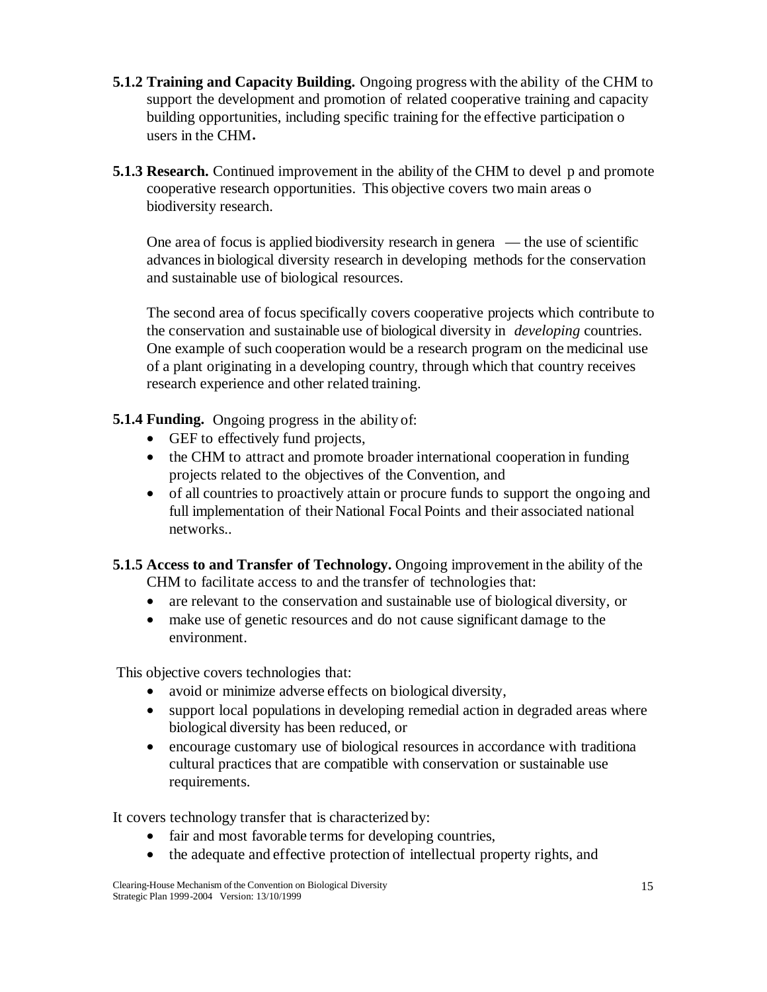- **5.1.2 Training and Capacity Building.** Ongoing progress with the ability of the CHM to support the development and promotion of related cooperative training and capacity building opportunities, including specific training for the effective participation o users in the CHM**.**
- **5.1.3 Research.** Continued improvement in the ability of the CHM to devel p and promote cooperative research opportunities. This objective covers two main areas o biodiversity research.

One area of focus is applied biodiversity research in genera — the use of scientific advances in biological diversity research in developing methods for the conservation and sustainable use of biological resources.

The second area of focus specifically covers cooperative projects which contribute to the conservation and sustainable use of biological diversity in *developing* countries. One example of such cooperation would be a research program on the medicinal use of a plant originating in a developing country, through which that country receives research experience and other related training.

**5.1.4 Funding.** Ongoing progress in the ability of:

- GEF to effectively fund projects,
- the CHM to attract and promote broader international cooperation in funding projects related to the objectives of the Convention, and
- of all countries to proactively attain or procure funds to support the ongoing and full implementation of their National Focal Points and their associated national networks..
- **5.1.5 Access to and Transfer of Technology.** Ongoing improvement in the ability of the CHM to facilitate access to and the transfer of technologies that:
	- are relevant to the conservation and sustainable use of biological diversity, or
	- make use of genetic resources and do not cause significant damage to the environment.

This objective covers technologies that:

- avoid or minimize adverse effects on biological diversity,
- support local populations in developing remedial action in degraded areas where biological diversity has been reduced, or
- encourage customary use of biological resources in accordance with traditiona cultural practices that are compatible with conservation or sustainable use requirements.

It covers technology transfer that is characterized by:

- fair and most favorable terms for developing countries,
- the adequate and effective protection of intellectual property rights, and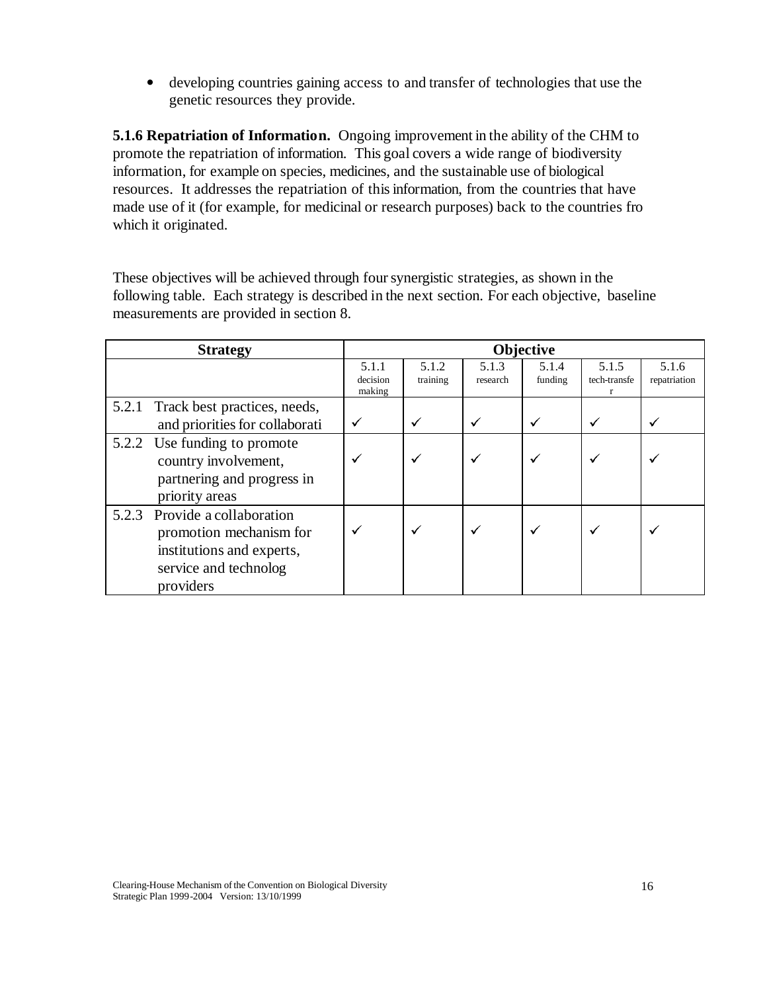• developing countries gaining access to and transfer of technologies that use the genetic resources they provide.

**5.1.6 Repatriation of Information.** Ongoing improvement in the ability of the CHM to promote the repatriation of information. This goal covers a wide range of biodiversity information, for example on species, medicines, and the sustainable use of biological resources. It addresses the repatriation of this information, from the countries that have made use of it (for example, for medicinal or research purposes) back to the countries fro which it originated.

These objectives will be achieved through four synergistic strategies, as shown in the following table. Each strategy is described in the next section. For each objective, baseline measurements are provided in section 8.

|       | <b>Strategy</b>                                                                                                       | <b>Objective</b>            |                   |                   |                  |                       |                       |
|-------|-----------------------------------------------------------------------------------------------------------------------|-----------------------------|-------------------|-------------------|------------------|-----------------------|-----------------------|
|       |                                                                                                                       | 5.1.1<br>decision<br>making | 5.1.2<br>training | 5.1.3<br>research | 5.1.4<br>funding | 5.1.5<br>tech-transfe | 5.1.6<br>repatriation |
| 5.2.1 | Track best practices, needs,<br>and priorities for collaborati                                                        |                             | ✓                 | ✓                 | $\checkmark$     | ✓                     | ✔                     |
|       | 5.2.2 Use funding to promote<br>country involvement,<br>partnering and progress in<br>priority areas                  |                             | $\checkmark$      |                   |                  |                       |                       |
| 5.2.3 | Provide a collaboration<br>promotion mechanism for<br>institutions and experts,<br>service and technolog<br>providers |                             | ✔                 |                   |                  |                       |                       |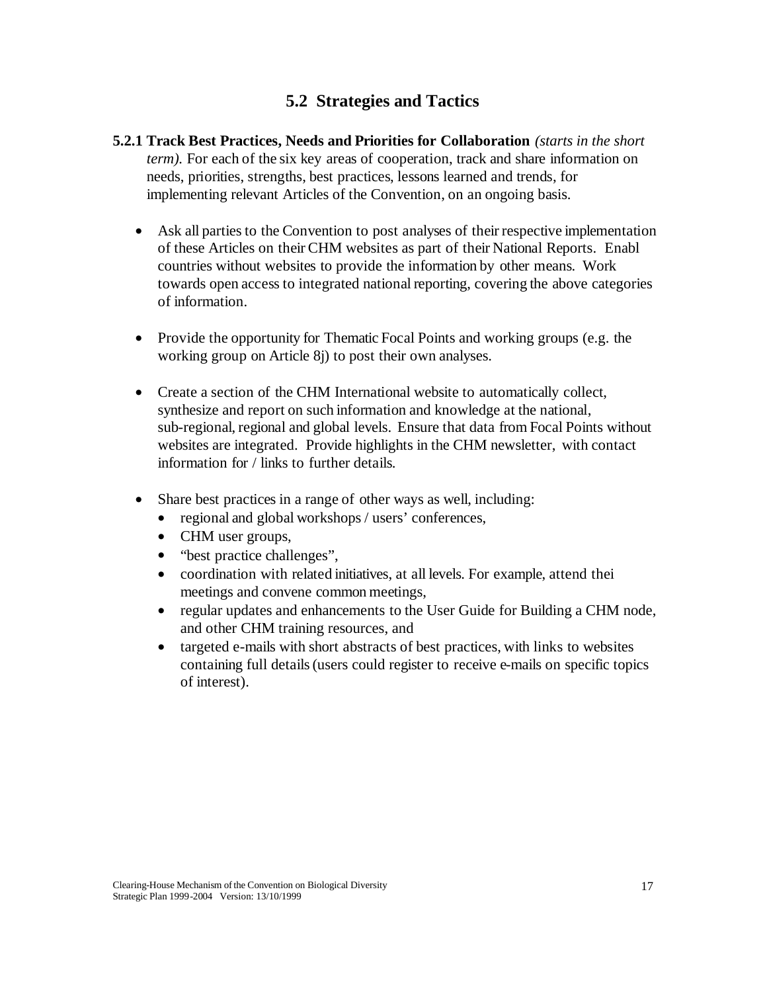# **5.2 Strategies and Tactics**

- **5.2.1 Track Best Practices, Needs and Priorities for Collaboration** *(starts in the short term).* For each of the six key areas of cooperation, track and share information on needs, priorities, strengths, best practices, lessons learned and trends, for implementing relevant Articles of the Convention, on an ongoing basis.
	- Ask all parties to the Convention to post analyses of their respective implementation of these Articles on their CHM websites as part of their National Reports. Enabl countries without websites to provide the information by other means. Work towards open access to integrated national reporting, covering the above categories of information.
	- Provide the opportunity for Thematic Focal Points and working groups (e.g. the working group on Article 8j) to post their own analyses.
	- Create a section of the CHM International website to automatically collect, synthesize and report on such information and knowledge at the national, sub-regional, regional and global levels. Ensure that data from Focal Points without websites are integrated. Provide highlights in the CHM newsletter, with contact information for / links to further details.
	- Share best practices in a range of other ways as well, including:
		- regional and global workshops / users' conferences,
		- CHM user groups,
		- "best practice challenges",
		- coordination with related initiatives, at all levels. For example, attend thei meetings and convene common meetings,
		- regular updates and enhancements to the User Guide for Building a CHM node, and other CHM training resources, and
		- targeted e-mails with short abstracts of best practices, with links to websites containing full details (users could register to receive e-mails on specific topics of interest).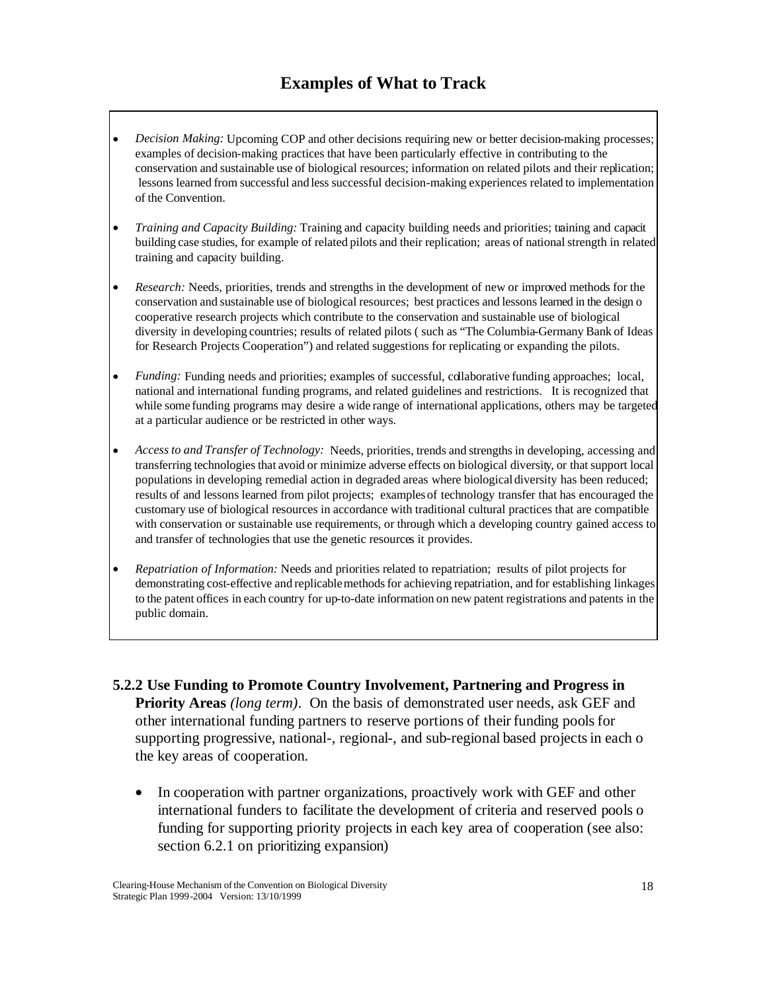- *Decision Making:* Upcoming COP and other decisions requiring new or better decision-making processes; examples of decision-making practices that have been particularly effective in contributing to the conservation and sustainable use of biological resources; information on related pilots and their replication; lessons learned from successful and less successful decision-making experiences related to implementation of the Convention.
- *Training and Capacity Building:* Training and capacity building needs and priorities; training and capacit building case studies, for example of related pilots and their replication; areas of national strength in related training and capacity building.
- *Research:* Needs, priorities, trends and strengths in the development of new or improved methods for the conservation and sustainable use of biological resources; best practices and lessons learned in the design o cooperative research projects which contribute to the conservation and sustainable use of biological diversity in developing countries; results of related pilots ( such as "The Columbia-Germany Bank of Ideas for Research Projects Cooperation") and related suggestions for replicating or expanding the pilots.
- *Funding:* Funding needs and priorities; examples of successful, collaborative funding approaches; local, national and international funding programs, and related guidelines and restrictions. It is recognized that while some funding programs may desire a wide range of international applications, others may be targeted at a particular audience or be restricted in other ways.
- *Access to and Transfer of Technology:* Needs, priorities, trends and strengths in developing, accessing and transferring technologies that avoid or minimize adverse effects on biological diversity, or that support local populations in developing remedial action in degraded areas where biological diversity has been reduced; results of and lessons learned from pilot projects; examples of technology transfer that has encouraged the customary use of biological resources in accordance with traditional cultural practices that are compatible with conservation or sustainable use requirements, or through which a developing country gained access to and transfer of technologies that use the genetic resources it provides.
- *Repatriation of Information:* Needs and priorities related to repatriation; results of pilot projects for demonstrating cost-effective and replicable methods for achieving repatriation, and for establishing linkages to the patent offices in each country for up-to-date information on new patent registrations and patents in the public domain.
- **5.2.2 Use Funding to Promote Country Involvement, Partnering and Progress in Priority Areas** *(long term)*. On the basis of demonstrated user needs, ask GEF and other international funding partners to reserve portions of their funding pools for supporting progressive, national-, regional-, and sub-regional based projects in each o the key areas of cooperation.
	- In cooperation with partner organizations, proactively work with GEF and other international funders to facilitate the development of criteria and reserved pools o funding for supporting priority projects in each key area of cooperation (see also: section 6.2.1 on prioritizing expansion)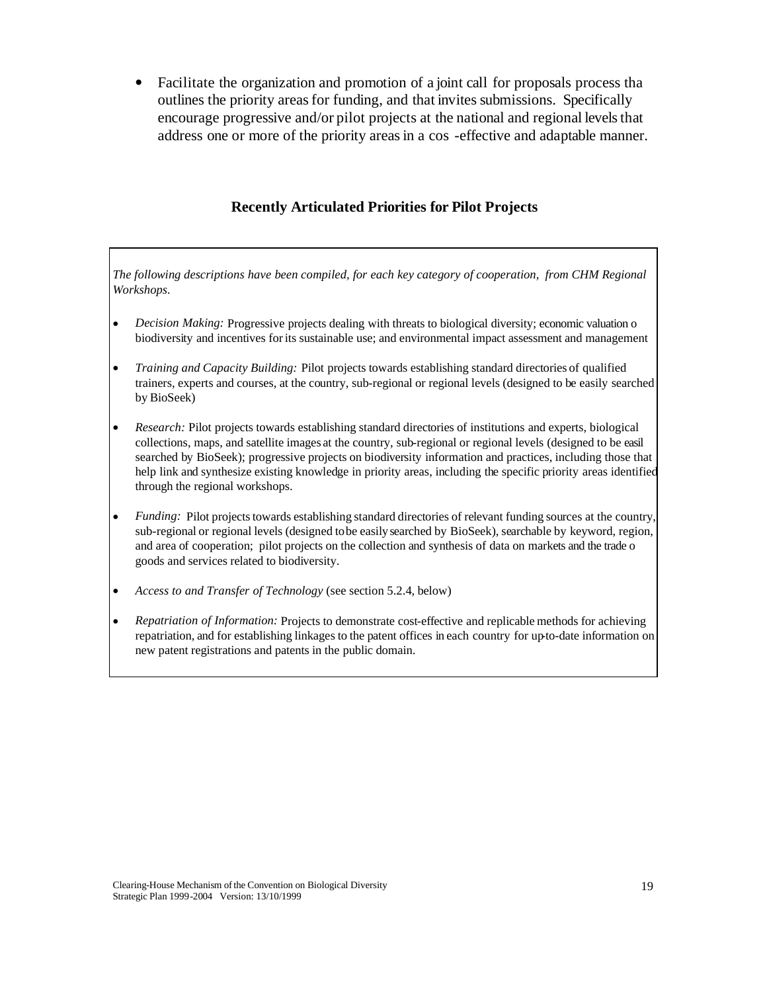• Facilitate the organization and promotion of a joint call for proposals process tha outlines the priority areas for funding, and that invites submissions. Specifically encourage progressive and/or pilot projects at the national and regional levels that address one or more of the priority areas in a cos -effective and adaptable manner.

#### **Recently Articulated Priorities for Pilot Projects**

*The following descriptions have been compiled, for each key category of cooperation, from CHM Regional Workshops.*

- *Decision Making:* Progressive projects dealing with threats to biological diversity; economic valuation o biodiversity and incentives for its sustainable use; and environmental impact assessment and management
- *Training and Capacity Building:* Pilot projects towards establishing standard directories of qualified trainers, experts and courses, at the country, sub-regional or regional levels (designed to be easily searched by BioSeek)
- *Research:* Pilot projects towards establishing standard directories of institutions and experts, biological collections, maps, and satellite images at the country, sub-regional or regional levels (designed to be easil searched by BioSeek); progressive projects on biodiversity information and practices, including those that help link and synthesize existing knowledge in priority areas, including the specific priority areas identified through the regional workshops.
- *Funding:* Pilot projects towards establishing standard directories of relevant funding sources at the country, sub-regional or regional levels (designed to be easily searched by BioSeek), searchable by keyword, region, and area of cooperation; pilot projects on the collection and synthesis of data on markets and the trade o goods and services related to biodiversity.
- *Access to and Transfer of Technology* (see section 5.2.4, below)
- *Repatriation of Information:* Projects to demonstrate cost-effective and replicable methods for achieving repatriation, and for establishing linkages to the patent offices in each country for up-to-date information on new patent registrations and patents in the public domain.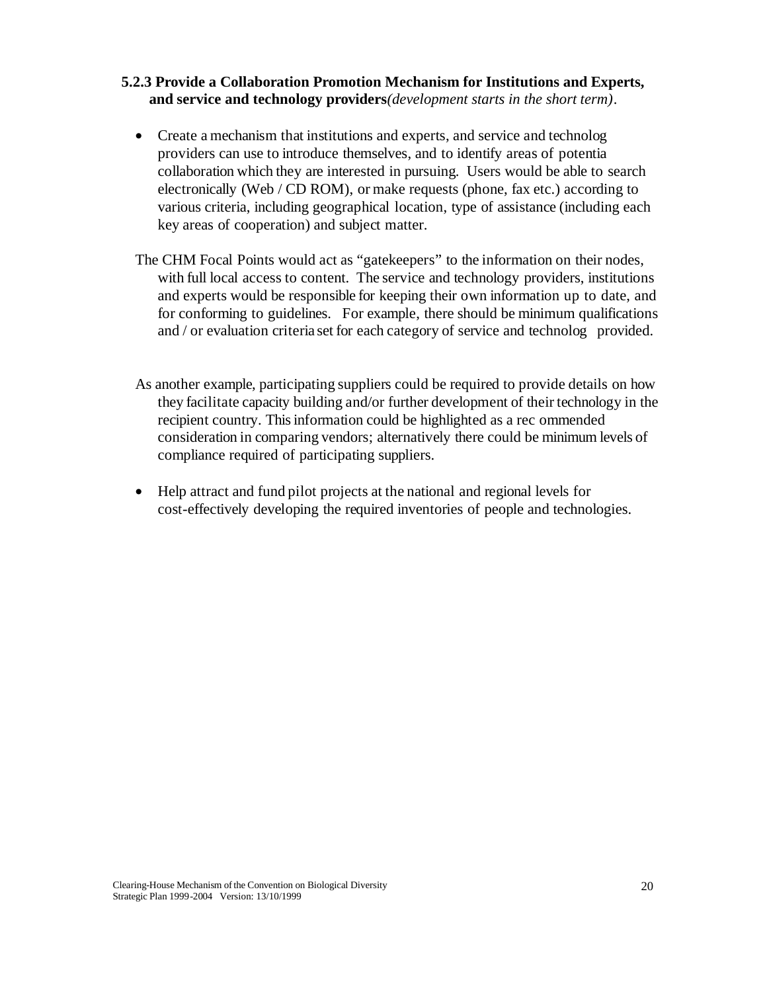#### **5.2.3 Provide a Collaboration Promotion Mechanism for Institutions and Experts, and service and technology providers***(development starts in the short term)*.

- Create a mechanism that institutions and experts, and service and technolog providers can use to introduce themselves, and to identify areas of potentia collaboration which they are interested in pursuing. Users would be able to search electronically (Web / CD ROM), or make requests (phone, fax etc.) according to various criteria, including geographical location, type of assistance (including each key areas of cooperation) and subject matter.
- The CHM Focal Points would act as "gatekeepers" to the information on their nodes, with full local access to content. The service and technology providers, institutions and experts would be responsible for keeping their own information up to date, and for conforming to guidelines. For example, there should be minimum qualifications and / or evaluation criteria set for each category of service and technolog provided.
- As another example, participating suppliers could be required to provide details on how they facilitate capacity building and/or further development of their technology in the recipient country. This information could be highlighted as a rec ommended consideration in comparing vendors; alternatively there could be minimum levels of compliance required of participating suppliers.
- Help attract and fund pilot projects at the national and regional levels for cost-effectively developing the required inventories of people and technologies.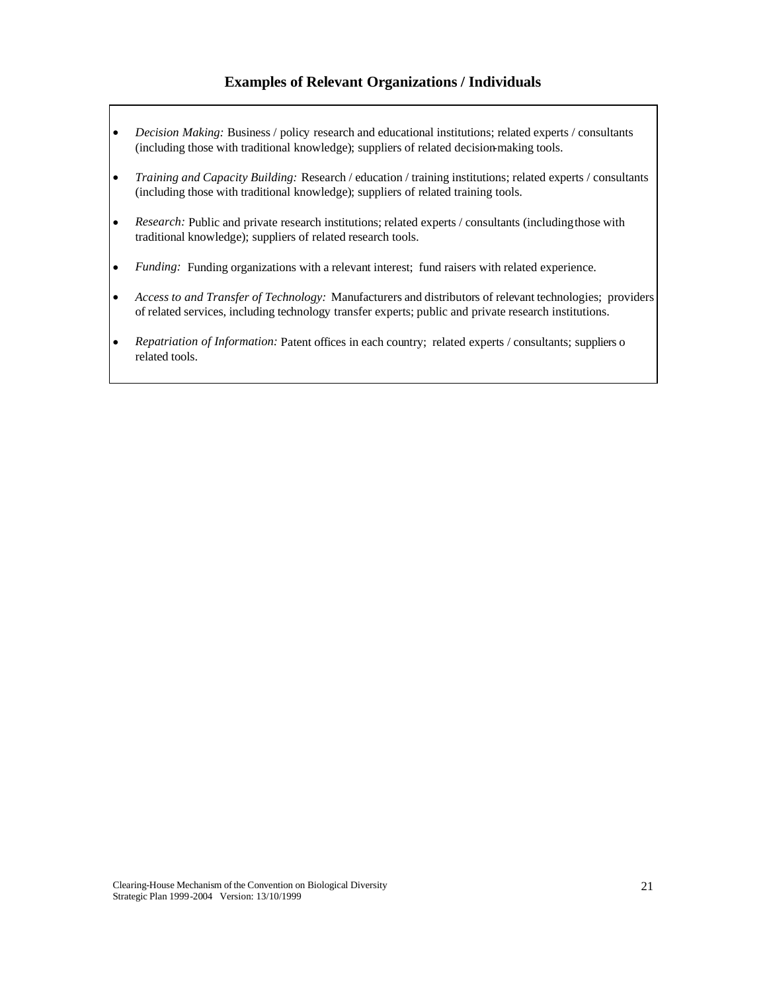#### **Examples of Relevant Organizations / Individuals**

- *Decision Making:* Business / policy research and educational institutions; related experts / consultants (including those with traditional knowledge); suppliers of related decision-making tools.
- *Training and Capacity Building:* Research / education / training institutions; related experts / consultants (including those with traditional knowledge); suppliers of related training tools.
- *Research:* Public and private research institutions; related experts / consultants (including those with traditional knowledge); suppliers of related research tools.
- *Funding:* Funding organizations with a relevant interest; fund raisers with related experience.
- *Access to and Transfer of Technology:* Manufacturers and distributors of relevant technologies; providers of related services, including technology transfer experts; public and private research institutions.
- *Repatriation of Information:* Patent offices in each country; related experts / consultants; suppliers o related tools.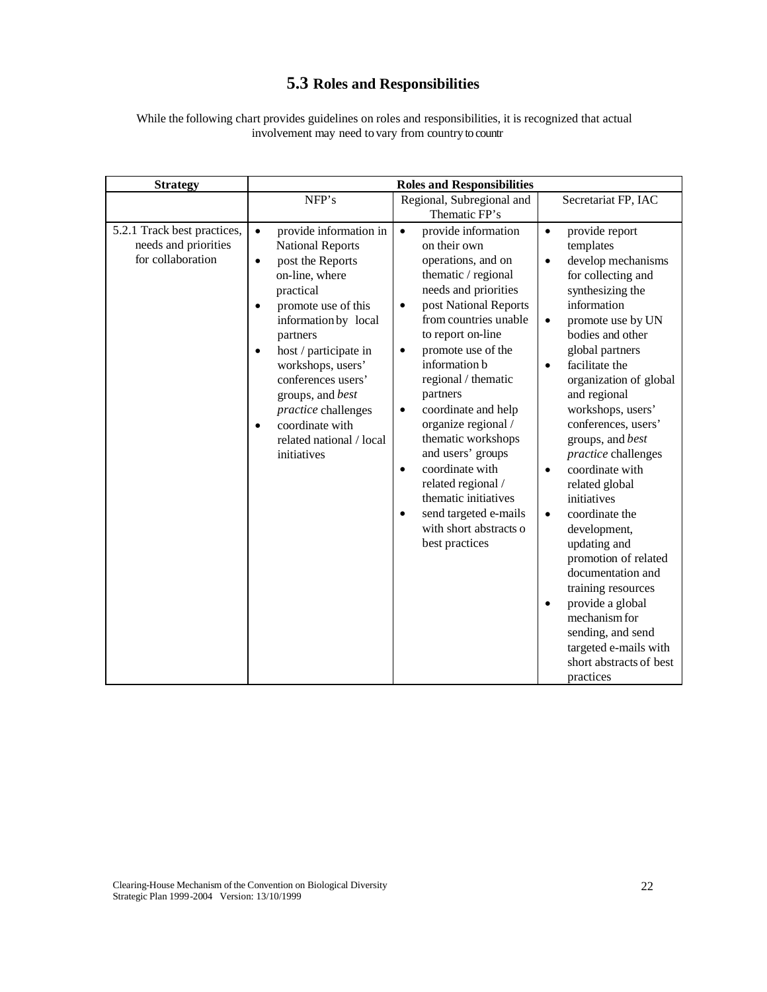# **5.3 Roles and Responsibilities**

While the following chart provides guidelines on roles and responsibilities, it is recognized that actual involvement may need to vary from country to countr

| <b>Strategy</b>                                                          | <b>Roles and Responsibilities</b>                                                                                                                                                                                                                                                                                                                                                   |                                                                                                                                                                                                                                                                                                                                                                                                                                                                                                                                                                        |                                                                                                                                                                                                                                                                                                                                                                                                                                                                                                                                                                                                                                                                                                                          |  |  |
|--------------------------------------------------------------------------|-------------------------------------------------------------------------------------------------------------------------------------------------------------------------------------------------------------------------------------------------------------------------------------------------------------------------------------------------------------------------------------|------------------------------------------------------------------------------------------------------------------------------------------------------------------------------------------------------------------------------------------------------------------------------------------------------------------------------------------------------------------------------------------------------------------------------------------------------------------------------------------------------------------------------------------------------------------------|--------------------------------------------------------------------------------------------------------------------------------------------------------------------------------------------------------------------------------------------------------------------------------------------------------------------------------------------------------------------------------------------------------------------------------------------------------------------------------------------------------------------------------------------------------------------------------------------------------------------------------------------------------------------------------------------------------------------------|--|--|
|                                                                          | NFP's                                                                                                                                                                                                                                                                                                                                                                               | Regional, Subregional and<br>Thematic FP's                                                                                                                                                                                                                                                                                                                                                                                                                                                                                                                             | Secretariat FP, IAC                                                                                                                                                                                                                                                                                                                                                                                                                                                                                                                                                                                                                                                                                                      |  |  |
| 5.2.1 Track best practices,<br>needs and priorities<br>for collaboration | provide information in<br>$\bullet$<br><b>National Reports</b><br>post the Reports<br>$\bullet$<br>on-line, where<br>practical<br>promote use of this<br>information by local<br>partners<br>host / participate in<br>$\bullet$<br>workshops, users'<br>conferences users'<br>groups, and best<br>practice challenges<br>coordinate with<br>related national / local<br>initiatives | provide information<br>$\bullet$<br>on their own<br>operations, and on<br>thematic / regional<br>needs and priorities<br>post National Reports<br>$\bullet$<br>from countries unable<br>to report on-line<br>promote use of the<br>$\bullet$<br>information b<br>regional / thematic<br>partners<br>coordinate and help<br>$\bullet$<br>organize regional /<br>thematic workshops<br>and users' groups<br>coordinate with<br>$\bullet$<br>related regional /<br>thematic initiatives<br>send targeted e-mails<br>$\bullet$<br>with short abstracts o<br>best practices | provide report<br>$\bullet$<br>templates<br>develop mechanisms<br>$\bullet$<br>for collecting and<br>synthesizing the<br>information<br>promote use by UN<br>$\bullet$<br>bodies and other<br>global partners<br>facilitate the<br>$\bullet$<br>organization of global<br>and regional<br>workshops, users'<br>conferences, users'<br>groups, and best<br>practice challenges<br>coordinate with<br>$\bullet$<br>related global<br>initiatives<br>coordinate the<br>$\bullet$<br>development,<br>updating and<br>promotion of related<br>documentation and<br>training resources<br>provide a global<br>$\bullet$<br>mechanism for<br>sending, and send<br>targeted e-mails with<br>short abstracts of best<br>practices |  |  |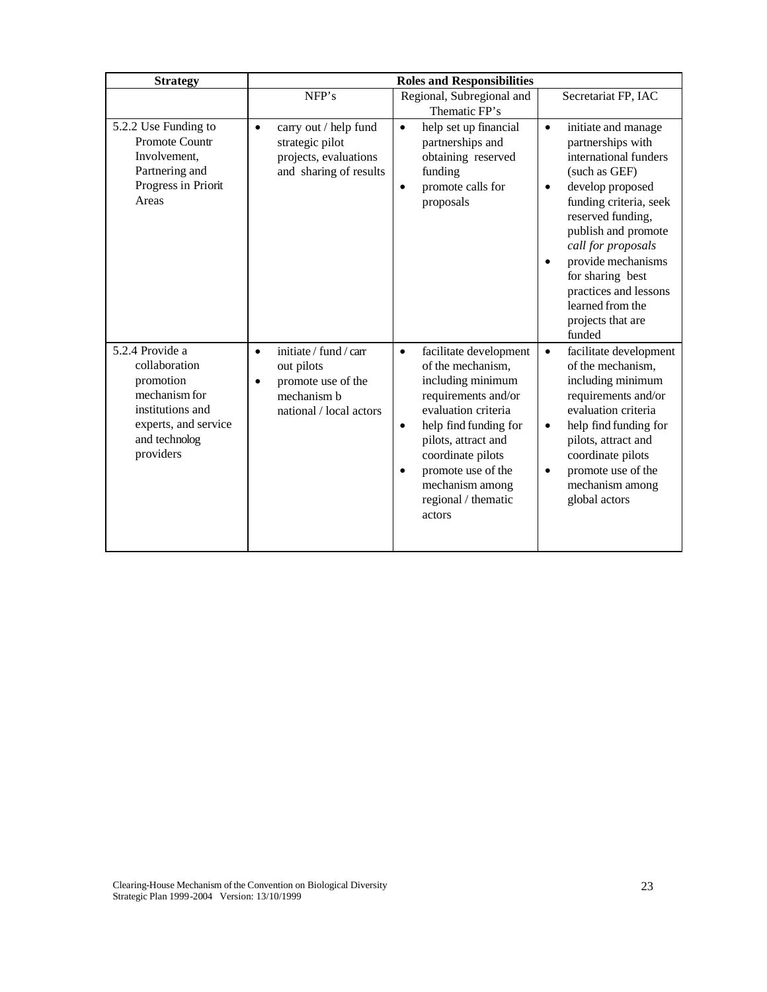| <b>Strategy</b>                                                                                                                          | <b>Roles and Responsibilities</b>                                                                                              |                                                                                                                                                                                                                                                                                                      |                                                                                                                                                                                                                                                                                                                                                                 |  |  |
|------------------------------------------------------------------------------------------------------------------------------------------|--------------------------------------------------------------------------------------------------------------------------------|------------------------------------------------------------------------------------------------------------------------------------------------------------------------------------------------------------------------------------------------------------------------------------------------------|-----------------------------------------------------------------------------------------------------------------------------------------------------------------------------------------------------------------------------------------------------------------------------------------------------------------------------------------------------------------|--|--|
|                                                                                                                                          | NFP's                                                                                                                          | Regional, Subregional and<br>Thematic FP's                                                                                                                                                                                                                                                           | Secretariat FP, IAC                                                                                                                                                                                                                                                                                                                                             |  |  |
| 5.2.2 Use Funding to<br>Promote Countr<br>Involvement.<br>Partnering and<br>Progress in Priorit<br>Areas                                 | carry out / help fund<br>$\bullet$<br>strategic pilot<br>projects, evaluations<br>and sharing of results                       | help set up financial<br>$\bullet$<br>partnerships and<br>obtaining reserved<br>funding<br>promote calls for<br>$\bullet$<br>proposals                                                                                                                                                               | initiate and manage<br>$\bullet$<br>partnerships with<br>international funders<br>(such as GEF)<br>develop proposed<br>$\bullet$<br>funding criteria, seek<br>reserved funding,<br>publish and promote<br>call for proposals<br>provide mechanisms<br>$\bullet$<br>for sharing best<br>practices and lessons<br>learned from the<br>projects that are<br>funded |  |  |
| 5.2.4 Provide a<br>collaboration<br>promotion<br>mechanism for<br>institutions and<br>experts, and service<br>and technolog<br>providers | initiate / fund / carr<br>$\bullet$<br>out pilots<br>promote use of the<br>$\bullet$<br>mechanism b<br>national / local actors | facilitate development<br>$\bullet$<br>of the mechanism,<br>including minimum<br>requirements and/or<br>evaluation criteria<br>help find funding for<br>$\bullet$<br>pilots, attract and<br>coordinate pilots<br>promote use of the<br>$\bullet$<br>mechanism among<br>regional / thematic<br>actors | facilitate development<br>$\bullet$<br>of the mechanism,<br>including minimum<br>requirements and/or<br>evaluation criteria<br>help find funding for<br>$\bullet$<br>pilots, attract and<br>coordinate pilots<br>promote use of the<br>$\bullet$<br>mechanism among<br>global actors                                                                            |  |  |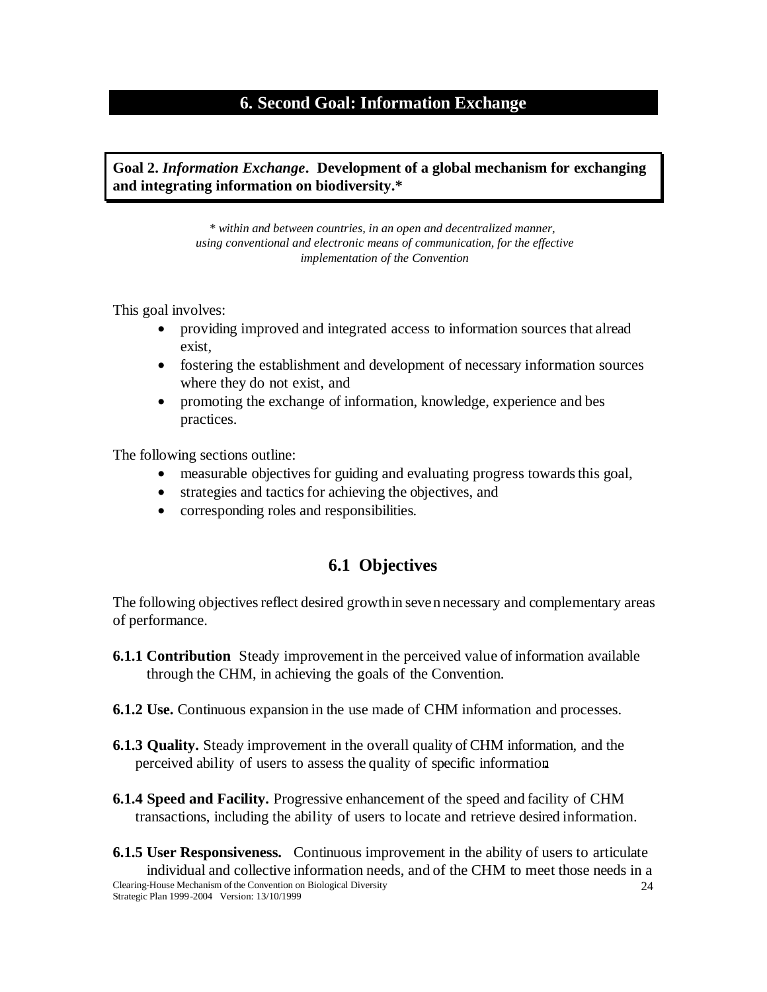# **6. Second Goal: Information Exchange**

**Goal 2.** *Information Exchange***. Development of a global mechanism for exchanging and integrating information on biodiversity.\***

> *\* within and between countries, in an open and decentralized manner, using conventional and electronic means of communication, for the effective implementation of the Convention*

This goal involves:

- providing improved and integrated access to information sources that alread exist,
- fostering the establishment and development of necessary information sources where they do not exist, and
- promoting the exchange of information, knowledge, experience and bes practices.

The following sections outline:

- measurable objectives for guiding and evaluating progress towards this goal,
- strategies and tactics for achieving the objectives, and
- corresponding roles and responsibilities.

# **6.1 Objectives**

The following objectives reflect desired growth in seven necessary and complementary areas of performance.

- **6.1.1 Contribution** Steady improvement in the perceived value of information available through the CHM, in achieving the goals of the Convention.
- **6.1.2 Use.** Continuous expansion in the use made of CHM information and processes.
- **6.1.3 Quality.** Steady improvement in the overall quality of CHM information, and the perceived ability of users to assess the quality of specific information**.**
- **6.1.4 Speed and Facility.** Progressive enhancement of the speed and facility of CHM transactions, including the ability of users to locate and retrieve desired information.
- Clearing-House Mechanism of the Convention on Biological Diversity Strategic Plan 1999-2004 Version: 13/10/1999  $24$ **6.1.5 User Responsiveness.** Continuous improvement in the ability of users to articulate individual and collective information needs, and of the CHM to meet those needs in a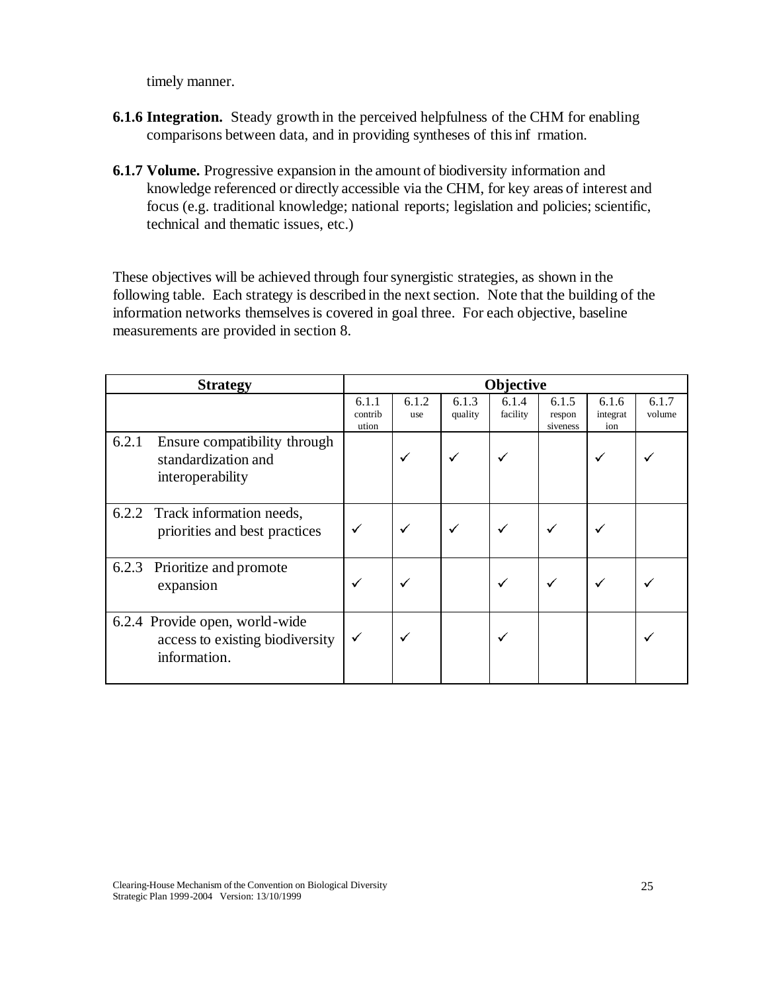timely manner.

- **6.1.6 Integration.** Steady growth in the perceived helpfulness of the CHM for enabling comparisons between data, and in providing syntheses of this inf rmation.
- **6.1.7 Volume.** Progressive expansion in the amount of biodiversity information and knowledge referenced or directly accessible via the CHM, for key areas of interest and focus (e.g. traditional knowledge; national reports; legislation and policies; scientific, technical and thematic issues, etc.)

These objectives will be achieved through four synergistic strategies, as shown in the following table. Each strategy is described in the next section. Note that the building of the information networks themselves is covered in goal three. For each objective, baseline measurements are provided in section 8.

| <b>Strategy</b>                                                                   | Objective                 |              |                  |                   |                             |                          |                 |
|-----------------------------------------------------------------------------------|---------------------------|--------------|------------------|-------------------|-----------------------------|--------------------------|-----------------|
|                                                                                   | 6.1.1<br>contrib<br>ution | 6.1.2<br>use | 6.1.3<br>quality | 6.1.4<br>facility | 6.1.5<br>respon<br>siveness | 6.1.6<br>integrat<br>ion | 6.1.7<br>volume |
| 6.2.1<br>Ensure compatibility through<br>standardization and<br>interoperability  |                           | $\checkmark$ | $\checkmark$     |                   |                             | ✓                        |                 |
| 6.2.2 Track information needs,<br>priorities and best practices                   | ✓                         | ✓            | √                | $\checkmark$      |                             |                          |                 |
| Prioritize and promote<br>6.2.3<br>expansion                                      | ✓                         | V            |                  |                   | ✓                           |                          |                 |
| 6.2.4 Provide open, world-wide<br>access to existing biodiversity<br>information. | $\checkmark$              | $\checkmark$ |                  |                   |                             |                          |                 |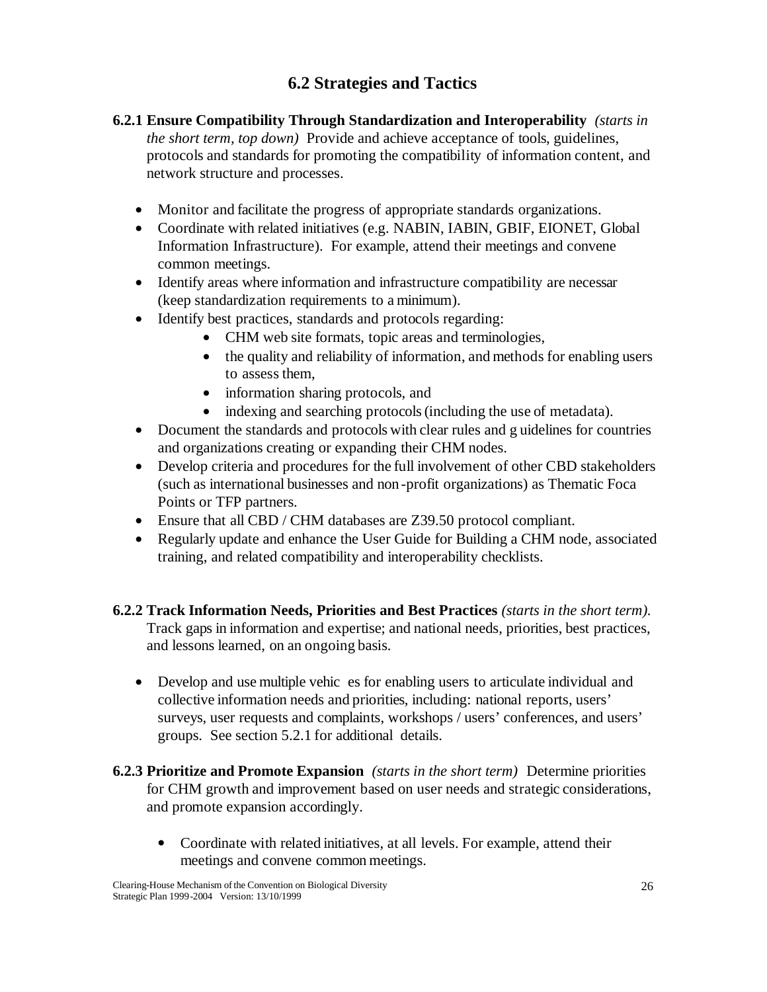# **6.2 Strategies and Tactics**

- **6.2.1 Ensure Compatibility Through Standardization and Interoperability** *(starts in the short term, top down)* Provide and achieve acceptance of tools, guidelines, protocols and standards for promoting the compatibility of information content, and network structure and processes.
	- Monitor and facilitate the progress of appropriate standards organizations.
	- Coordinate with related initiatives (e.g. NABIN, IABIN, GBIF, EIONET, Global Information Infrastructure). For example, attend their meetings and convene common meetings.
	- Identify areas where information and infrastructure compatibility are necessar (keep standardization requirements to a minimum).
	- Identify best practices, standards and protocols regarding:
		- CHM web site formats, topic areas and terminologies,
		- the quality and reliability of information, and methods for enabling users to assess them,
		- information sharing protocols, and
		- indexing and searching protocols (including the use of metadata).
	- Document the standards and protocols with clear rules and g uidelines for countries and organizations creating or expanding their CHM nodes.
	- Develop criteria and procedures for the full involvement of other CBD stakeholders (such as international businesses and non -profit organizations) as Thematic Foca Points or TFP partners.
	- Ensure that all CBD / CHM databases are Z39.50 protocol compliant.
	- Regularly update and enhance the User Guide for Building a CHM node, associated training, and related compatibility and interoperability checklists.
- **6.2.2 Track Information Needs, Priorities and Best Practices** *(starts in the short term).* Track gaps in information and expertise; and national needs, priorities, best practices, and lessons learned, on an ongoing basis.
	- Develop and use multiple vehic es for enabling users to articulate individual and collective information needs and priorities, including: national reports, users' surveys, user requests and complaints, workshops / users' conferences, and users' groups. See section 5.2.1 for additional details.
- **6.2.3 Prioritize and Promote Expansion** *(starts in the short term)* Determine priorities for CHM growth and improvement based on user needs and strategic considerations, and promote expansion accordingly.
	- Coordinate with related initiatives, at all levels. For example, attend their meetings and convene common meetings.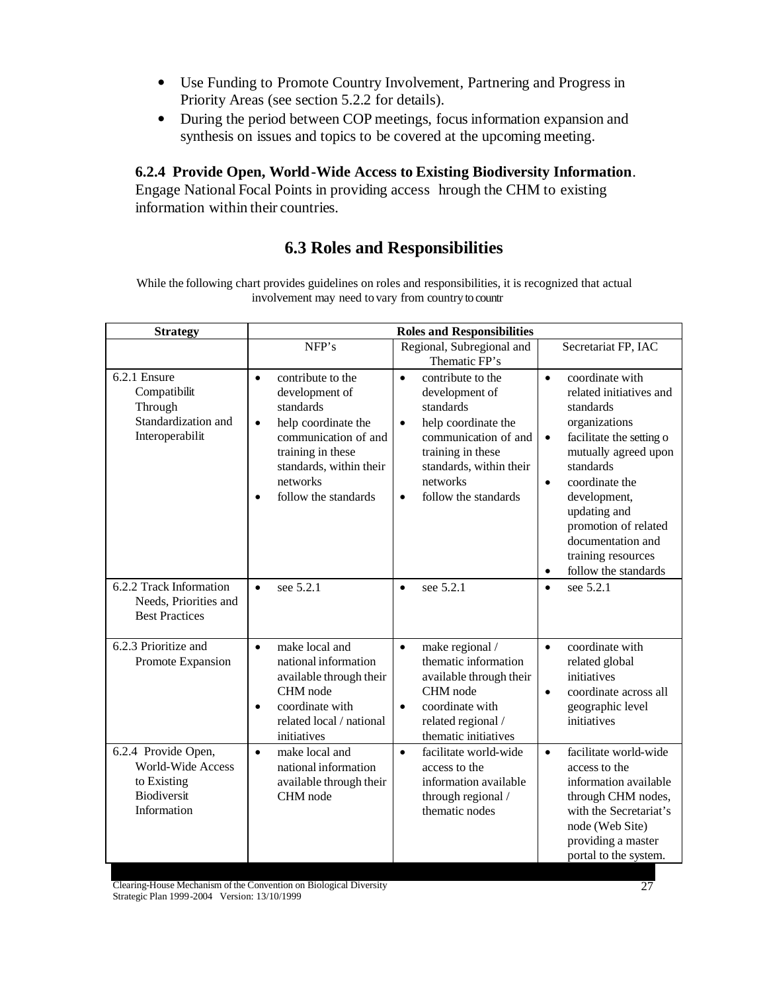- Use Funding to Promote Country Involvement, Partnering and Progress in Priority Areas (see section 5.2.2 for details).
- During the period between COP meetings, focus information expansion and synthesis on issues and topics to be covered at the upcoming meeting.

**6.2.4 Provide Open, World-Wide Access to Existing Biodiversity Information**.

Engage National Focal Points in providing access hrough the CHM to existing information within their countries.

# **6.3 Roles and Responsibilities**

While the following chart provides guidelines on roles and responsibilities, it is recognized that actual involvement may need to vary from country to countr

| <b>Strategy</b>                                                                                     | <b>Roles and Responsibilities</b>                                                                                                                                                                             |                                                                                                                                                                                                                            |                                                                                                                                                                                                                                                                                                                                            |  |  |
|-----------------------------------------------------------------------------------------------------|---------------------------------------------------------------------------------------------------------------------------------------------------------------------------------------------------------------|----------------------------------------------------------------------------------------------------------------------------------------------------------------------------------------------------------------------------|--------------------------------------------------------------------------------------------------------------------------------------------------------------------------------------------------------------------------------------------------------------------------------------------------------------------------------------------|--|--|
|                                                                                                     | NFP's                                                                                                                                                                                                         | Regional, Subregional and<br>Thematic FP's                                                                                                                                                                                 | Secretariat FP, IAC                                                                                                                                                                                                                                                                                                                        |  |  |
| 6.2.1 Ensure<br>Compatibilit<br>Through<br>Standardization and<br>Interoperabilit                   | contribute to the<br>$\bullet$<br>development of<br>standards<br>help coordinate the<br>$\bullet$<br>communication of and<br>training in these<br>standards, within their<br>networks<br>follow the standards | contribute to the<br>$\bullet$<br>development of<br>standards<br>help coordinate the<br>$\bullet$<br>communication of and<br>training in these<br>standards, within their<br>networks<br>follow the standards<br>$\bullet$ | coordinate with<br>$\bullet$<br>related initiatives and<br>standards<br>organizations<br>facilitate the setting o<br>$\bullet$<br>mutually agreed upon<br>standards<br>coordinate the<br>$\bullet$<br>development,<br>updating and<br>promotion of related<br>documentation and<br>training resources<br>follow the standards<br>$\bullet$ |  |  |
| 6.2.2 Track Information<br>Needs, Priorities and<br><b>Best Practices</b>                           | see 5.2.1<br>$\bullet$                                                                                                                                                                                        | see 5.2.1<br>$\bullet$                                                                                                                                                                                                     | see 5.2.1<br>$\bullet$                                                                                                                                                                                                                                                                                                                     |  |  |
| 6.2.3 Prioritize and<br>Promote Expansion                                                           | make local and<br>$\bullet$<br>national information<br>available through their<br>CHM node<br>coordinate with<br>$\bullet$<br>related local / national<br>initiatives                                         | $\bullet$<br>make regional /<br>thematic information<br>available through their<br>CHM node<br>coordinate with<br>$\bullet$<br>related regional /<br>thematic initiatives                                                  | coordinate with<br>$\bullet$<br>related global<br>initiatives<br>coordinate across all<br>$\bullet$<br>geographic level<br>initiatives                                                                                                                                                                                                     |  |  |
| 6.2.4 Provide Open,<br><b>World-Wide Access</b><br>to Existing<br><b>Biodiversit</b><br>Information | make local and<br>$\bullet$<br>national information<br>available through their<br>CHM node                                                                                                                    | $\bullet$<br>facilitate world-wide<br>access to the<br>information available<br>through regional /<br>thematic nodes                                                                                                       | facilitate world-wide<br>$\bullet$<br>access to the<br>information available<br>through CHM nodes,<br>with the Secretariat's<br>node (Web Site)<br>providing a master<br>portal to the system.                                                                                                                                             |  |  |

Clearing-House Mechanism of the Convention on Biological Diversity Strategic Plan 1999-2004 Version: 13/10/1999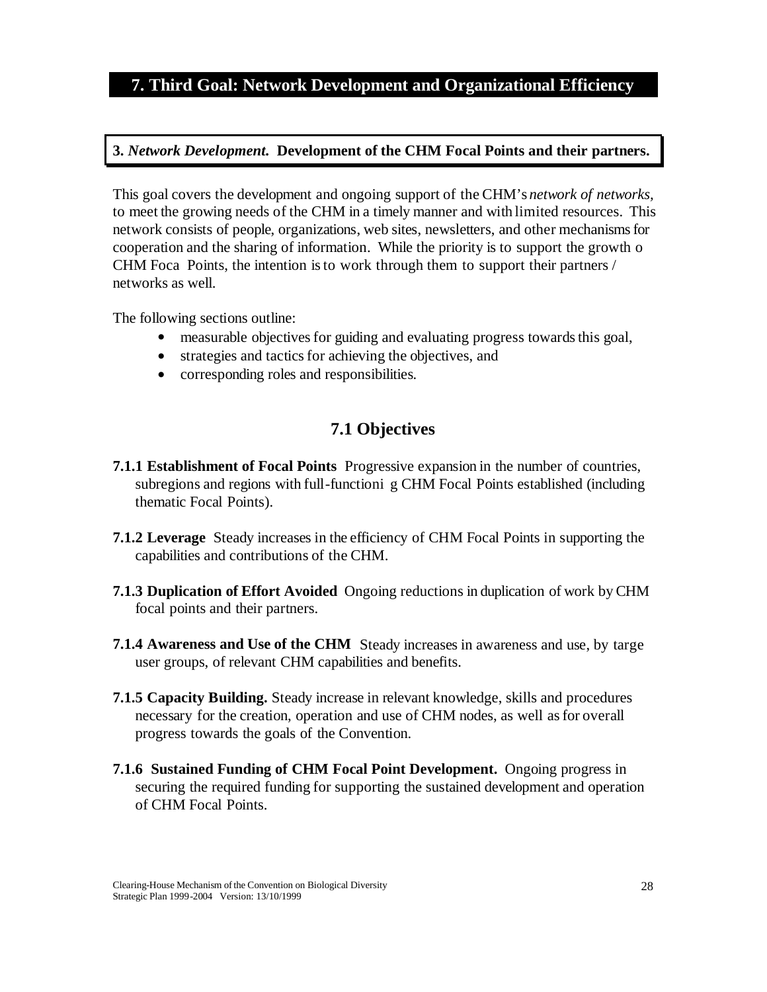# **7. Third Goal: Network Development and Organizational Efficiency**

#### **3.** *Network Development***. Development of the CHM Focal Points and their partners.**

This goal covers the development and ongoing support of the CHM's *network of networks,*  to meet the growing needs of the CHM in a timely manner and with limited resources. This network consists of people, organizations, web sites, newsletters, and other mechanisms for cooperation and the sharing of information. While the priority is to support the growth o CHM Foca Points, the intention is to work through them to support their partners / networks as well.

The following sections outline:

- measurable objectives for guiding and evaluating progress towards this goal,
- strategies and tactics for achieving the objectives, and
- corresponding roles and responsibilities.

# **7.1 Objectives**

- **7.1.1 Establishment of Focal Points** Progressive expansion in the number of countries, subregions and regions with full-functioni g CHM Focal Points established (including thematic Focal Points).
- **7.1.2 Leverage** Steady increases in the efficiency of CHM Focal Points in supporting the capabilities and contributions of the CHM.
- **7.1.3 Duplication of Effort Avoided** Ongoing reductions in duplication of work by CHM focal points and their partners.
- **7.1.4 Awareness and Use of the CHM** Steady increases in awareness and use, by targe user groups, of relevant CHM capabilities and benefits.
- **7.1.5 Capacity Building.** Steady increase in relevant knowledge, skills and procedures necessary for the creation, operation and use of CHM nodes, as well as for overall progress towards the goals of the Convention.
- **7.1.6 Sustained Funding of CHM Focal Point Development.** Ongoing progress in securing the required funding for supporting the sustained development and operation of CHM Focal Points.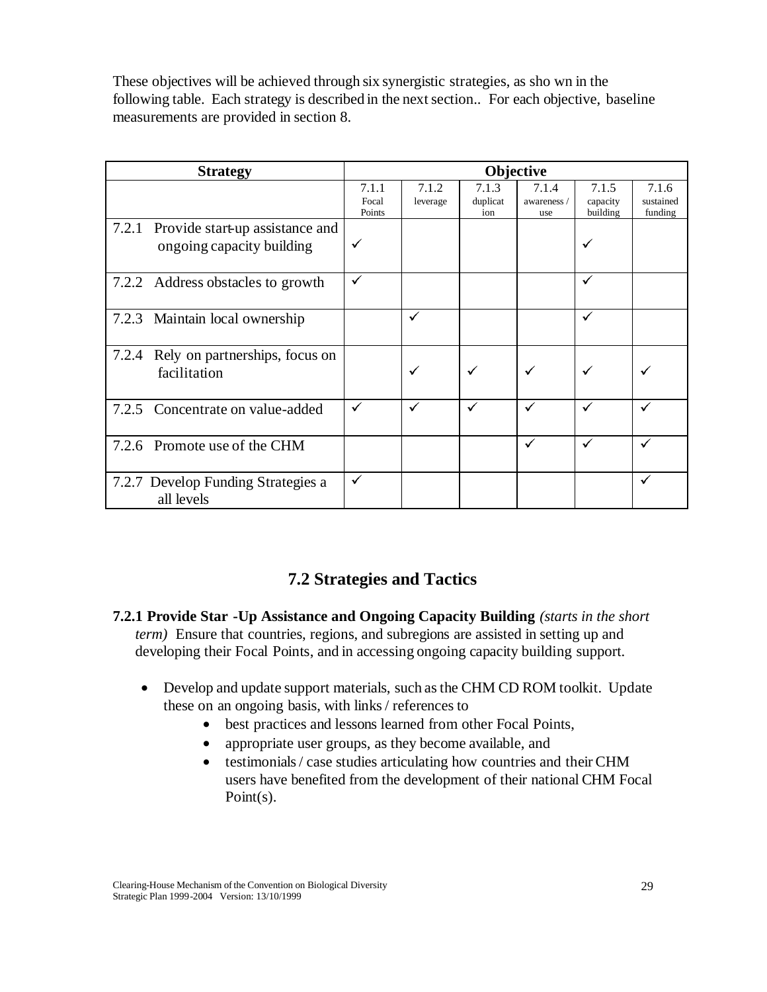These objectives will be achieved through six synergistic strategies, as sho wn in the following table. Each strategy is described in the next section.. For each objective, baseline measurements are provided in section 8.

| <b>Strategy</b>                                                    |                          |                   |                          | Objective                   |                               |                               |
|--------------------------------------------------------------------|--------------------------|-------------------|--------------------------|-----------------------------|-------------------------------|-------------------------------|
|                                                                    | 7.1.1<br>Focal<br>Points | 7.1.2<br>leverage | 7.1.3<br>duplicat<br>ion | 7.1.4<br>awareness /<br>use | 7.1.5<br>capacity<br>building | 7.1.6<br>sustained<br>funding |
| 7.2.1 Provide start-up assistance and<br>ongoing capacity building | ✓                        |                   |                          |                             | ✓                             |                               |
| 7.2.2 Address obstacles to growth                                  | ✓                        |                   |                          |                             | ✓                             |                               |
| 7.2.3 Maintain local ownership                                     |                          | ✓                 |                          |                             | ✓                             |                               |
| 7.2.4<br>Rely on partnerships, focus on<br>facilitation            |                          |                   | ✓                        | ✓                           | ✓                             |                               |
| 7.2.5 Concentrate on value-added                                   | ✓                        | ✓                 | ✓                        | $\checkmark$                | ✓                             |                               |
| 7.2.6 Promote use of the CHM                                       |                          |                   |                          | ✓                           | $\checkmark$                  |                               |
| 7.2.7 Develop Funding Strategies a<br>all levels                   | ✓                        |                   |                          |                             |                               | ✓                             |

# **7.2 Strategies and Tactics**

- **7.2.1 Provide Star -Up Assistance and Ongoing Capacity Building** *(starts in the short term*) Ensure that countries, regions, and subregions are assisted in setting up and developing their Focal Points, and in accessing ongoing capacity building support.
	- Develop and update support materials, such as the CHM CD ROM toolkit. Update these on an ongoing basis, with links / references to
		- best practices and lessons learned from other Focal Points,
		- appropriate user groups, as they become available, and
		- testimonials / case studies articulating how countries and their CHM users have benefited from the development of their national CHM Focal Point(s).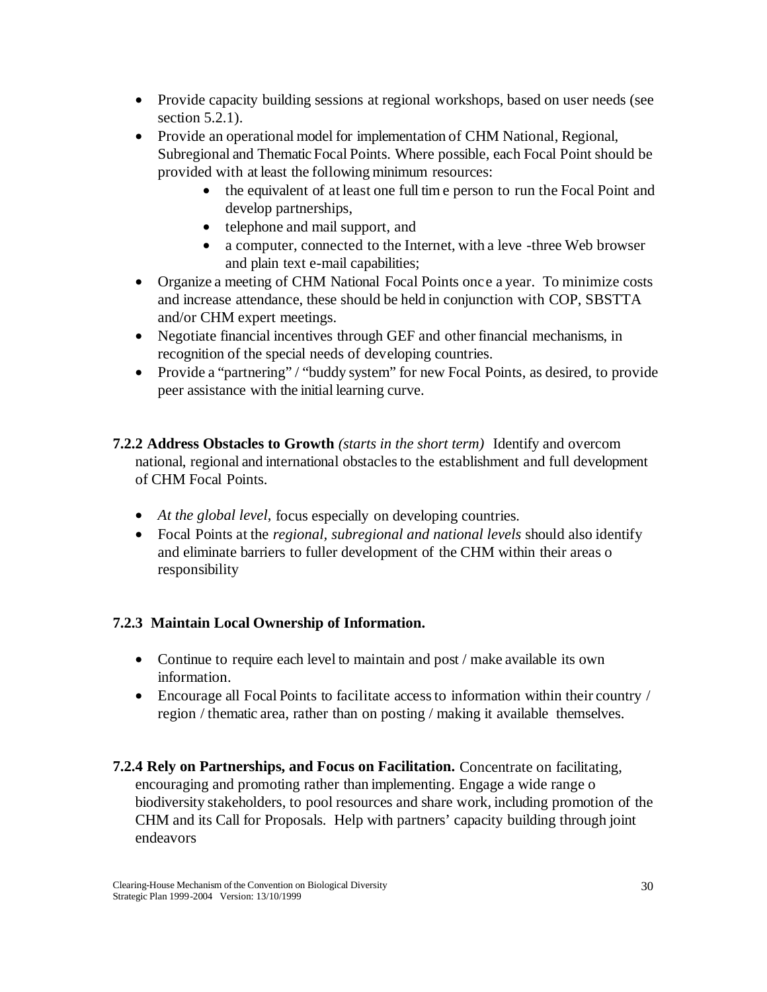- Provide capacity building sessions at regional workshops, based on user needs (see section 5.2.1).
- Provide an operational model for implementation of CHM National, Regional, Subregional and Thematic Focal Points. Where possible, each Focal Point should be provided with at least the following minimum resources:
	- the equivalent of at least one full time person to run the Focal Point and develop partnerships,
	- telephone and mail support, and
	- a computer, connected to the Internet, with a leve -three Web browser and plain text e-mail capabilities;
- Organize a meeting of CHM National Focal Points once a year. To minimize costs and increase attendance, these should be held in conjunction with COP, SBSTTA and/or CHM expert meetings.
- Negotiate financial incentives through GEF and other financial mechanisms, in recognition of the special needs of developing countries.
- Provide a "partnering" / "buddy system" for new Focal Points, as desired, to provide peer assistance with the initial learning curve.

**7.2.2 Address Obstacles to Growth** *(starts in the short term)*Identify and overcom national, regional and international obstacles to the establishment and full development of CHM Focal Points.

- *At the global level,* focus especially on developing countries.
- Focal Points at the *regional, subregional and national levels* should also identify and eliminate barriers to fuller development of the CHM within their areas o responsibility

# **7.2.3 Maintain Local Ownership of Information.**

- Continue to require each level to maintain and post / make available its own information.
- Encourage all Focal Points to facilitate access to information within their country / region / thematic area, rather than on posting / making it available themselves.
- **7.2.4 Rely on Partnerships, and Focus on Facilitation.** Concentrate on facilitating, encouraging and promoting rather than implementing. Engage a wide range o biodiversity stakeholders, to pool resources and share work, including promotion of the CHM and its Call for Proposals. Help with partners' capacity building through joint endeavors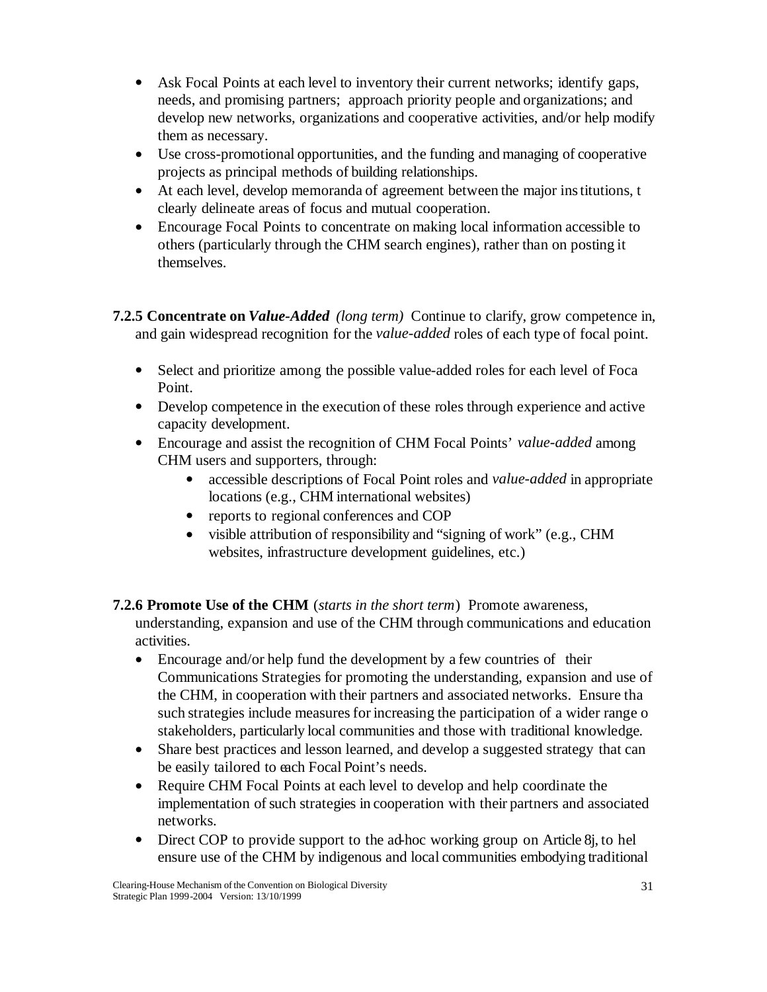- Ask Focal Points at each level to inventory their current networks; identify gaps, needs, and promising partners; approach priority people and organizations; and develop new networks, organizations and cooperative activities, and/or help modify them as necessary.
- Use cross-promotional opportunities, and the funding and managing of cooperative projects as principal methods of building relationships.
- At each level, develop memoranda of agreement between the major ins titutions, t clearly delineate areas of focus and mutual cooperation.
- Encourage Focal Points to concentrate on making local information accessible to others (particularly through the CHM search engines), rather than on posting it themselves.
- **7.2.5 Concentrate on** *Value-Added**(long term)* Continue to clarify, grow competence in, and gain widespread recognition for the *value-added* roles of each type of focal point.
	- Select and prioritize among the possible value-added roles for each level of Foca Point.
	- Develop competence in the execution of these roles through experience and active capacity development.
	- Encourage and assist the recognition of CHM Focal Points' *value-added* among CHM users and supporters, through:
		- accessible descriptions of Focal Point roles and *value-added* in appropriate locations (e.g., CHM international websites)
		- reports to regional conferences and COP
		- visible attribution of responsibility and "signing of work" (e.g., CHM websites, infrastructure development guidelines, etc.)

# **7.2.6 Promote Use of the CHM** (*starts in the short term*) Promote awareness,

understanding, expansion and use of the CHM through communications and education activities.

- Encourage and/or help fund the development by a few countries of their Communications Strategies for promoting the understanding, expansion and use of the CHM, in cooperation with their partners and associated networks. Ensure tha such strategies include measures for increasing the participation of a wider range o stakeholders, particularly local communities and those with traditional knowledge.
- Share best practices and lesson learned, and develop a suggested strategy that can be easily tailored to each Focal Point's needs.
- Require CHM Focal Points at each level to develop and help coordinate the implementation of such strategies in cooperation with their partners and associated networks.
- Direct COP to provide support to the ad-hoc working group on Article 8j, to hel ensure use of the CHM by indigenous and local communities embodying traditional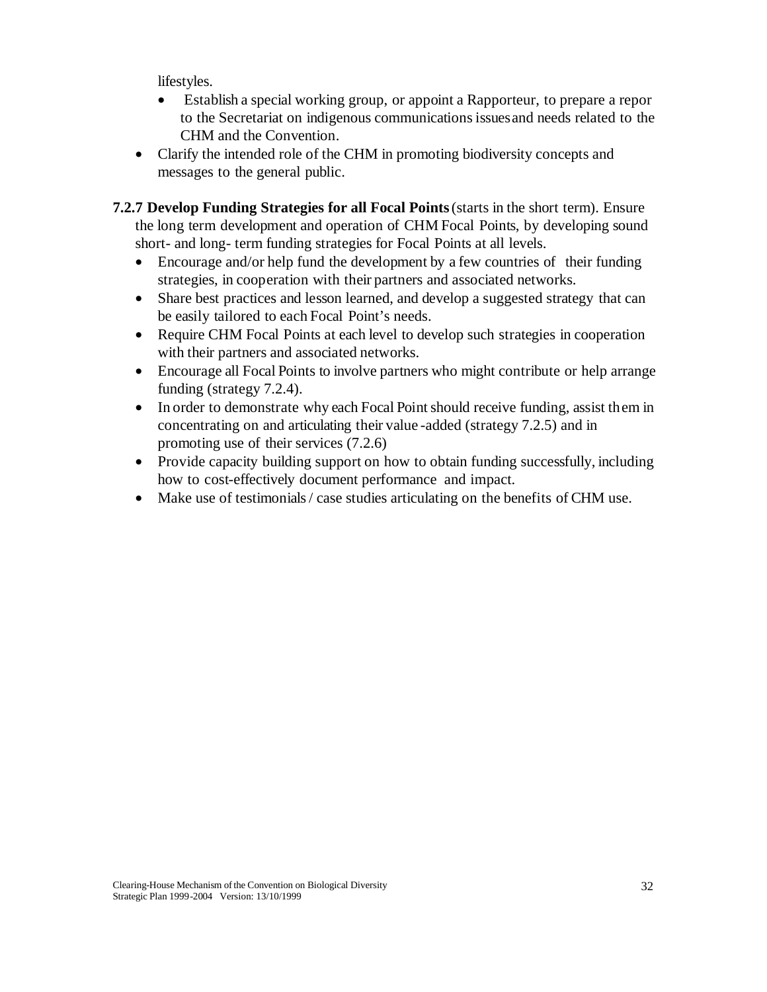lifestyles.

- Establish a special working group, or appoint a Rapporteur, to prepare a repor to the Secretariat on indigenous communications issues and needs related to the CHM and the Convention.
- Clarify the intended role of the CHM in promoting biodiversity concepts and messages to the general public.

**7.2.7 Develop Funding Strategies for all Focal Points** (starts in the short term). Ensure the long term development and operation of CHM Focal Points, by developing sound short- and long- term funding strategies for Focal Points at all levels.

- Encourage and/or help fund the development by a few countries of their funding strategies, in cooperation with their partners and associated networks.
- Share best practices and lesson learned, and develop a suggested strategy that can be easily tailored to each Focal Point's needs.
- Require CHM Focal Points at each level to develop such strategies in cooperation with their partners and associated networks.
- Encourage all Focal Points to involve partners who might contribute or help arrange funding (strategy 7.2.4).
- In order to demonstrate why each Focal Point should receive funding, assist them in concentrating on and articulating their value -added (strategy 7.2.5) and in promoting use of their services (7.2.6)
- Provide capacity building support on how to obtain funding successfully, including how to cost-effectively document performance and impact.
- Make use of testimonials / case studies articulating on the benefits of CHM use.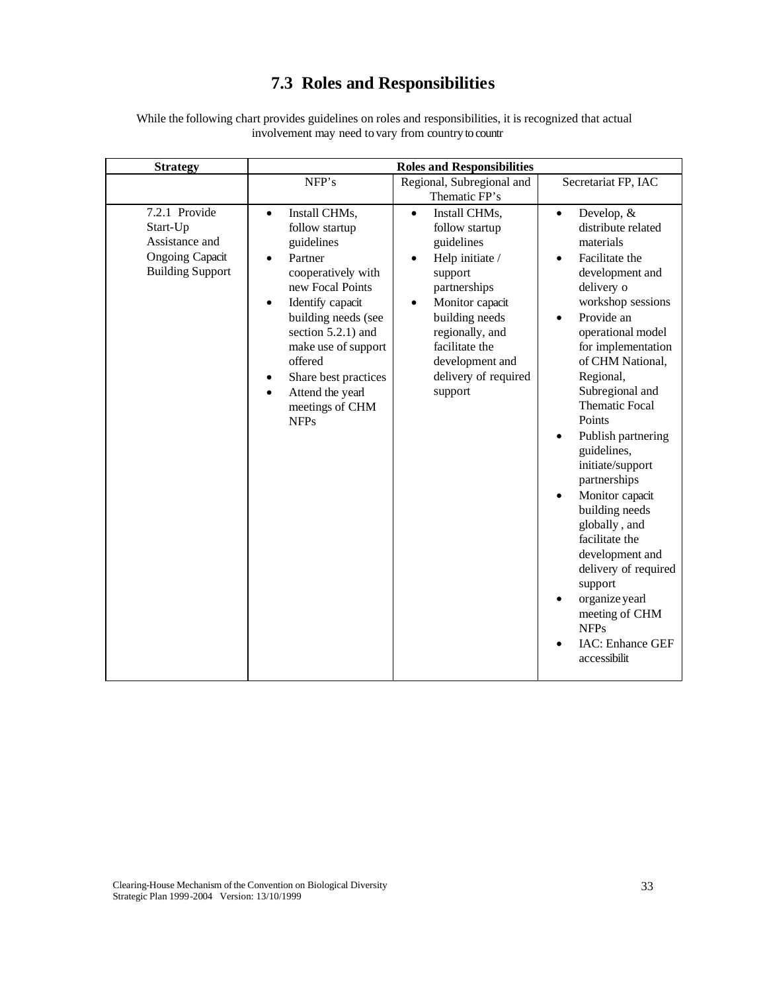# **7.3 Roles and Responsibilities**

| <b>Strategy</b>                                                                                  | <b>Roles and Responsibilities</b>                                                                                                                                                                                                                                                                                                  |                                                                                                                                                                                                                                                       |                                                                                                                                                                                                                                                                                                                                                                                                                                                                                                                                                                                  |  |  |
|--------------------------------------------------------------------------------------------------|------------------------------------------------------------------------------------------------------------------------------------------------------------------------------------------------------------------------------------------------------------------------------------------------------------------------------------|-------------------------------------------------------------------------------------------------------------------------------------------------------------------------------------------------------------------------------------------------------|----------------------------------------------------------------------------------------------------------------------------------------------------------------------------------------------------------------------------------------------------------------------------------------------------------------------------------------------------------------------------------------------------------------------------------------------------------------------------------------------------------------------------------------------------------------------------------|--|--|
|                                                                                                  | NFP's                                                                                                                                                                                                                                                                                                                              | Regional, Subregional and                                                                                                                                                                                                                             | Secretariat FP, IAC                                                                                                                                                                                                                                                                                                                                                                                                                                                                                                                                                              |  |  |
|                                                                                                  |                                                                                                                                                                                                                                                                                                                                    | Thematic FP's                                                                                                                                                                                                                                         |                                                                                                                                                                                                                                                                                                                                                                                                                                                                                                                                                                                  |  |  |
| 7.2.1 Provide<br>Start-Up<br>Assistance and<br><b>Ongoing Capacit</b><br><b>Building Support</b> | Install CHMs,<br>$\bullet$<br>follow startup<br>guidelines<br>Partner<br>$\bullet$<br>cooperatively with<br>new Focal Points<br>Identify capacit<br>$\bullet$<br>building needs (see<br>section $5.2.1$ ) and<br>make use of support<br>offered<br>Share best practices<br>٠<br>Attend the yearl<br>meetings of CHM<br><b>NFPs</b> | Install CHMs,<br>$\bullet$<br>follow startup<br>guidelines<br>Help initiate /<br>$\bullet$<br>support<br>partnerships<br>Monitor capacit<br>building needs<br>regionally, and<br>facilitate the<br>development and<br>delivery of required<br>support | Develop, &<br>$\bullet$<br>distribute related<br>materials<br>Facilitate the<br>development and<br>delivery o<br>workshop sessions<br>Provide an<br>operational model<br>for implementation<br>of CHM National,<br>Regional,<br>Subregional and<br><b>Thematic Focal</b><br>Points<br>Publish partnering<br>guidelines,<br>initiate/support<br>partnerships<br>Monitor capacit<br>building needs<br>globally, and<br>facilitate the<br>development and<br>delivery of required<br>support<br>organize yearl<br>meeting of CHM<br><b>NFPs</b><br>IAC: Enhance GEF<br>accessibilit |  |  |

While the following chart provides guidelines on roles and responsibilities, it is recognized that actual involvement may need to vary from country to countr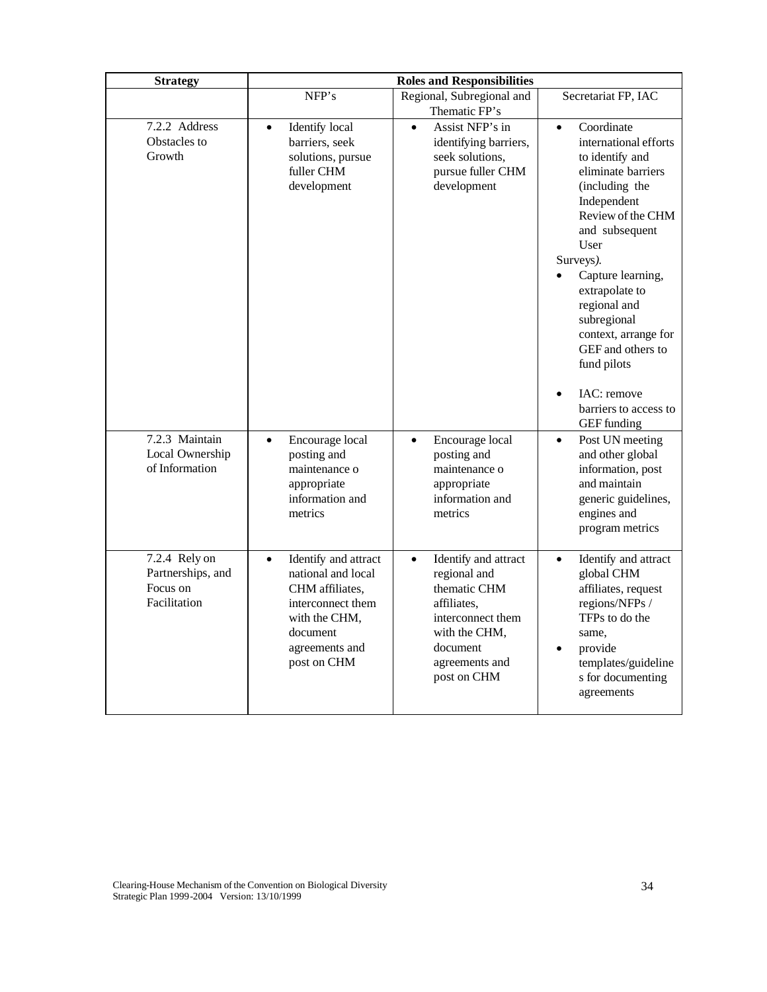| <b>Strategy</b>                                                | <b>Roles and Responsibilities</b>                                                                                                                             |                                                                                                                                                                     |                                                                                                                                                                                                                                                                                                                                                                                                           |  |  |
|----------------------------------------------------------------|---------------------------------------------------------------------------------------------------------------------------------------------------------------|---------------------------------------------------------------------------------------------------------------------------------------------------------------------|-----------------------------------------------------------------------------------------------------------------------------------------------------------------------------------------------------------------------------------------------------------------------------------------------------------------------------------------------------------------------------------------------------------|--|--|
|                                                                | NFP's                                                                                                                                                         | Regional, Subregional and<br>Thematic FP's                                                                                                                          | Secretariat FP, IAC                                                                                                                                                                                                                                                                                                                                                                                       |  |  |
| 7.2.2 Address<br>Obstacles to<br>Growth                        | Identify local<br>$\bullet$<br>barriers, seek<br>solutions, pursue<br>fuller CHM<br>development                                                               | Assist NFP's in<br>$\bullet$<br>identifying barriers,<br>seek solutions,<br>pursue fuller CHM<br>development                                                        | Coordinate<br>$\bullet$<br>international efforts<br>to identify and<br>eliminate barriers<br>(including the<br>Independent<br>Review of the CHM<br>and subsequent<br>User<br>Surveys).<br>Capture learning,<br>$\bullet$<br>extrapolate to<br>regional and<br>subregional<br>context, arrange for<br>GEF and others to<br>fund pilots<br>IAC: remove<br>$\bullet$<br>barriers to access to<br>GEF funding |  |  |
| 7.2.3 Maintain<br>Local Ownership<br>of Information            | Encourage local<br>$\bullet$<br>posting and<br>maintenance o<br>appropriate<br>information and<br>metrics                                                     | Encourage local<br>$\bullet$<br>posting and<br>maintenance o<br>appropriate<br>information and<br>metrics                                                           | Post UN meeting<br>$\bullet$<br>and other global<br>information, post<br>and maintain<br>generic guidelines,<br>engines and<br>program metrics                                                                                                                                                                                                                                                            |  |  |
| 7.2.4 Rely on<br>Partnerships, and<br>Focus on<br>Facilitation | Identify and attract<br>$\bullet$<br>national and local<br>CHM affiliates,<br>interconnect them<br>with the CHM,<br>document<br>agreements and<br>post on CHM | Identify and attract<br>$\bullet$<br>regional and<br>thematic CHM<br>affiliates,<br>interconnect them<br>with the CHM,<br>document<br>agreements and<br>post on CHM | Identify and attract<br>$\bullet$<br>global CHM<br>affiliates, request<br>regions/NFPs /<br>TFPs to do the<br>same,<br>provide<br>$\bullet$<br>templates/guideline<br>s for documenting<br>agreements                                                                                                                                                                                                     |  |  |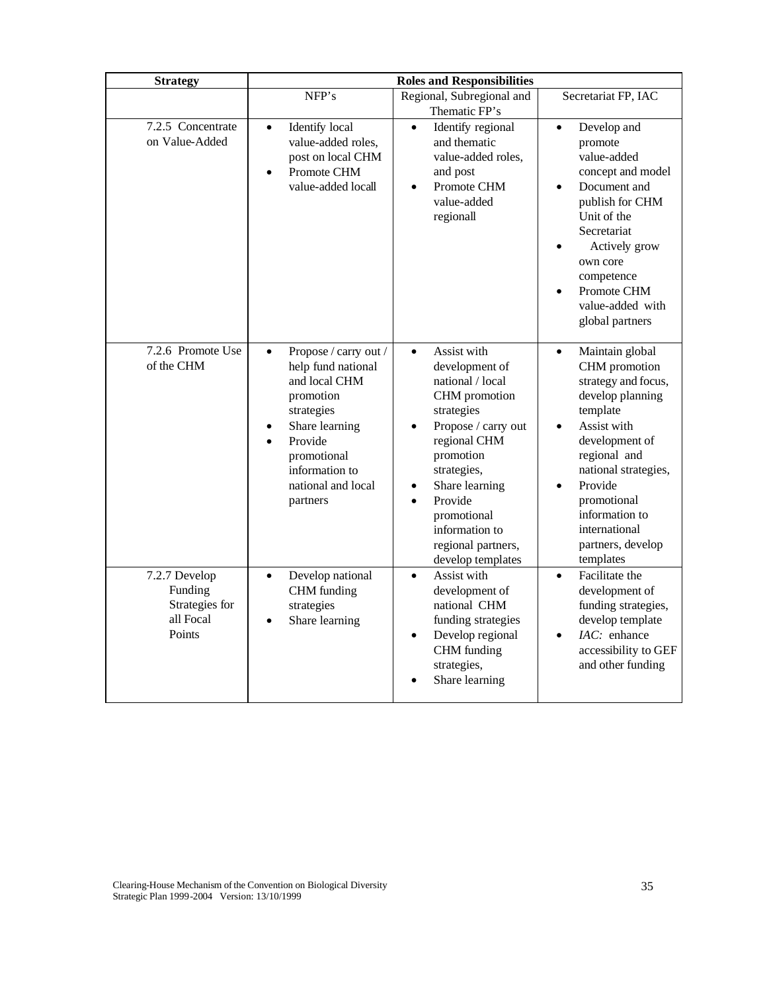| <b>Strategy</b>                                                   | <b>Roles and Responsibilities</b>                                                                                                                                                                                      |                                                                                                                                                                                                                                                                                        |                                                                                                                                                                                                                                                                                           |  |  |
|-------------------------------------------------------------------|------------------------------------------------------------------------------------------------------------------------------------------------------------------------------------------------------------------------|----------------------------------------------------------------------------------------------------------------------------------------------------------------------------------------------------------------------------------------------------------------------------------------|-------------------------------------------------------------------------------------------------------------------------------------------------------------------------------------------------------------------------------------------------------------------------------------------|--|--|
|                                                                   | NFP's                                                                                                                                                                                                                  | Regional, Subregional and<br>Thematic FP's                                                                                                                                                                                                                                             | Secretariat FP, IAC                                                                                                                                                                                                                                                                       |  |  |
| 7.2.5 Concentrate<br>on Value-Added                               | Identify local<br>$\bullet$<br>value-added roles,<br>post on local CHM<br>Promote CHM<br>$\bullet$<br>value-added locall                                                                                               | Identify regional<br>$\bullet$<br>and thematic<br>value-added roles,<br>and post<br>Promote CHM<br>$\bullet$<br>value-added<br>regionall                                                                                                                                               | Develop and<br>$\bullet$<br>promote<br>value-added<br>concept and model<br>Document and<br>$\bullet$<br>publish for CHM<br>Unit of the<br>Secretariat<br>Actively grow<br>own core<br>competence<br>Promote CHM<br>value-added with<br>global partners                                    |  |  |
| 7.2.6 Promote Use<br>of the CHM                                   | Propose / carry out /<br>$\bullet$<br>help fund national<br>and local CHM<br>promotion<br>strategies<br>Share learning<br>٠<br>Provide<br>$\bullet$<br>promotional<br>information to<br>national and local<br>partners | Assist with<br>$\bullet$<br>development of<br>national / local<br>CHM promotion<br>strategies<br>Propose / carry out<br>regional CHM<br>promotion<br>strategies,<br>Share learning<br>Provide<br>$\bullet$<br>promotional<br>information to<br>regional partners,<br>develop templates | Maintain global<br>$\bullet$<br>CHM promotion<br>strategy and focus,<br>develop planning<br>template<br>Assist with<br>development of<br>regional and<br>national strategies,<br>Provide<br>$\bullet$<br>promotional<br>information to<br>international<br>partners, develop<br>templates |  |  |
| 7.2.7 Develop<br>Funding<br>Strategies for<br>all Focal<br>Points | Develop national<br>$\bullet$<br>CHM funding<br>strategies<br>Share learning                                                                                                                                           | Assist with<br>$\bullet$<br>development of<br>national CHM<br>funding strategies<br>Develop regional<br>$\bullet$<br>CHM funding<br>strategies,<br>Share learning                                                                                                                      | Facilitate the<br>$\bullet$<br>development of<br>funding strategies,<br>develop template<br>IAC: enhance<br>$\bullet$<br>accessibility to GEF<br>and other funding                                                                                                                        |  |  |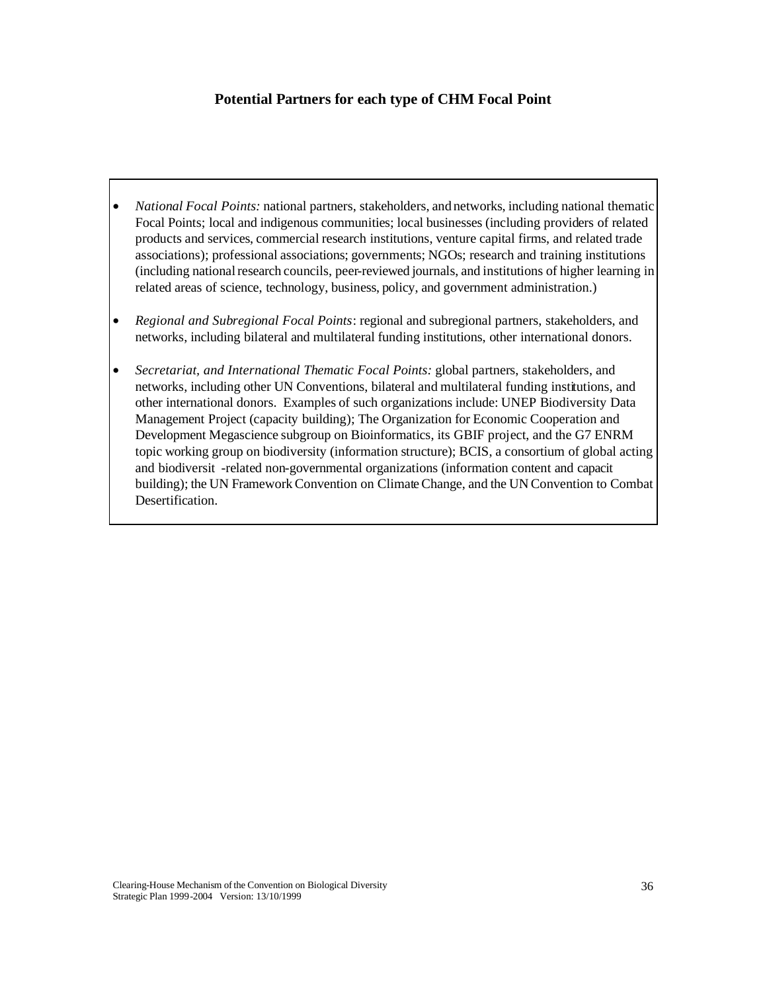#### **Potential Partners for each type of CHM Focal Point**

- *National Focal Points:* national partners, stakeholders, and networks, including national thematic Focal Points; local and indigenous communities; local businesses (including providers of related products and services, commercial research institutions, venture capital firms, and related trade associations); professional associations; governments; NGOs; research and training institutions (including national research councils, peer-reviewed journals, and institutions of higher learning in related areas of science, technology, business, policy, and government administration.)
- *Regional and Subregional Focal Points*: regional and subregional partners, stakeholders, and networks, including bilateral and multilateral funding institutions, other international donors.
- *Secretariat, and International Thematic Focal Points:* global partners, stakeholders, and networks, including other UN Conventions, bilateral and multilateral funding institutions, and other international donors. Examples of such organizations include: UNEP Biodiversity Data Management Project (capacity building); The Organization for Economic Cooperation and Development Megascience subgroup on Bioinformatics, its GBIF project, and the G7 ENRM topic working group on biodiversity (information structure); BCIS, a consortium of global acting and biodiversit -related non-governmental organizations (information content and capacit building); the UN Framework Convention on Climate Change, and the UN Convention to Combat **Desertification**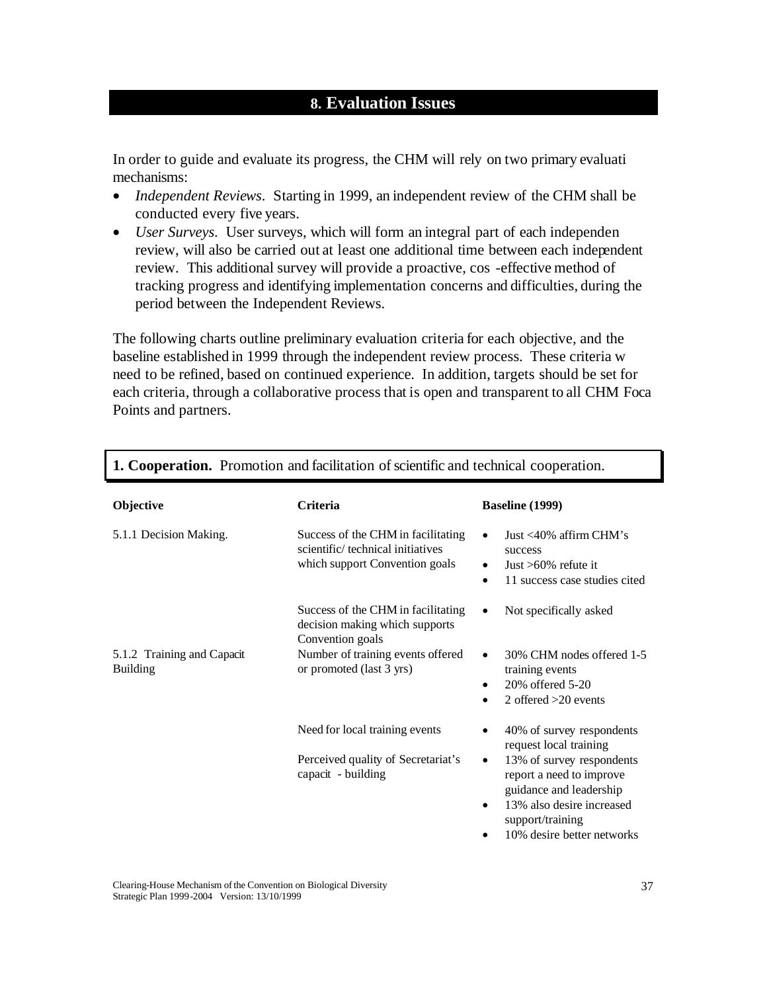# **8. Evaluation Issues**

In order to guide and evaluate its progress, the CHM will rely on two primary evaluati mechanisms:

- *Independent Reviews*. Starting in 1999, an independent review of the CHM shall be conducted every five years.
- *User Surveys*. User surveys, which will form an integral part of each independen review, will also be carried out at least one additional time between each independent review. This additional survey will provide a proactive, cos -effective method of tracking progress and identifying implementation concerns and difficulties, during the period between the Independent Reviews.

The following charts outline preliminary evaluation criteria for each objective, and the baseline established in 1999 through the independent review process. These criteria w need to be refined, based on continued experience. In addition, targets should be set for each criteria, through a collaborative process that is open and transparent to all CHM Foca Points and partners.

| Objective                                     | <b>Criteria</b>                                                                                          | <b>Baseline</b> (1999)                                                                                                                                                            |
|-----------------------------------------------|----------------------------------------------------------------------------------------------------------|-----------------------------------------------------------------------------------------------------------------------------------------------------------------------------------|
| 5.1.1 Decision Making.                        | Success of the CHM in facilitating<br>scientific/technical initiatives<br>which support Convention goals | Just $<$ 40% affirm CHM's<br>$\bullet$<br>success<br>Just $>60\%$ refute it<br>$\bullet$<br>11 success case studies cited<br>$\bullet$                                            |
|                                               | Success of the CHM in facilitating<br>decision making which supports<br>Convention goals                 | Not specifically asked<br>$\bullet$                                                                                                                                               |
| 5.1.2 Training and Capacit<br><b>Building</b> | Number of training events offered<br>or promoted (last 3 yrs)                                            | 30% CHM nodes offered 1-5<br>$\bullet$<br>training events<br>20% offered 5-20<br>$\bullet$<br>2 offered $>20$ events<br>$\bullet$                                                 |
|                                               | Need for local training events                                                                           | 40% of survey respondents<br>٠<br>request local training                                                                                                                          |
|                                               | Perceived quality of Secretariat's<br>capacit - building                                                 | 13% of survey respondents<br>٠<br>report a need to improve<br>guidance and leadership<br>13% also desire increased<br>$\bullet$<br>support/training<br>10% desire better networks |

#### **1. Cooperation.** Promotion and facilitation of scientific and technical cooperation.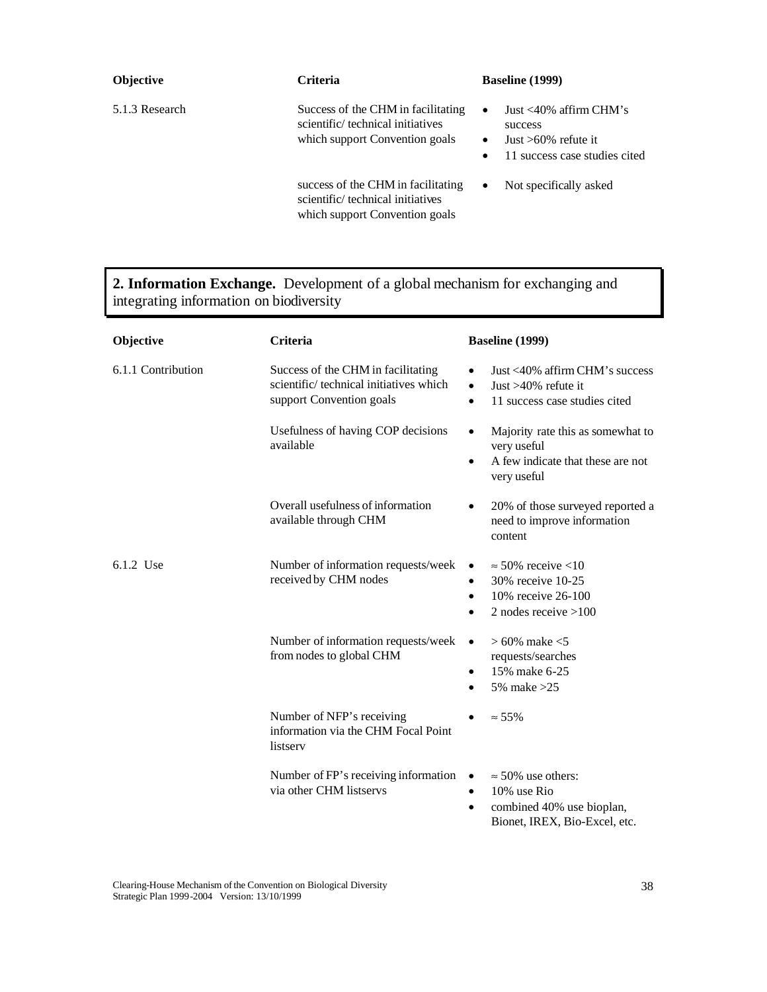| <b>Objective</b> | Criteria                                                                                                 | <b>Baseline</b> (1999)                                                                                                         |
|------------------|----------------------------------------------------------------------------------------------------------|--------------------------------------------------------------------------------------------------------------------------------|
| 5.1.3 Research   | Success of the CHM in facilitating<br>scientific/technical initiatives<br>which support Convention goals | Just $<$ 40% affirm CHM's<br>٠<br>success<br>Just $>60\%$ refute it<br>$\bullet$<br>11 success case studies cited<br>$\bullet$ |
|                  | success of the CHM in facilitating<br>scientific/technical initiatives<br>which support Convention goals | Not specifically asked<br>٠                                                                                                    |

#### **2. Information Exchange.** Development of a global mechanism for exchanging and integrating information on biodiversity

| Objective          | <b>Criteria</b>                                                                                           | Baseline (1999)                                                                                                                               |
|--------------------|-----------------------------------------------------------------------------------------------------------|-----------------------------------------------------------------------------------------------------------------------------------------------|
| 6.1.1 Contribution | Success of the CHM in facilitating<br>scientific/ technical initiatives which<br>support Convention goals | Just $<$ 40% affirm CHM's success<br>Just $>40\%$ refute it<br>$\bullet$<br>11 success case studies cited<br>$\bullet$                        |
|                    | Usefulness of having COP decisions<br>available                                                           | Majority rate this as somewhat to<br>very useful<br>A few indicate that these are not<br>$\bullet$<br>very useful                             |
|                    | Overall usefulness of information<br>available through CHM                                                | 20% of those surveyed reported a<br>need to improve information<br>content                                                                    |
| 6.1.2 Use          | Number of information requests/week<br>received by CHM nodes                                              | $\approx$ 50% receive <10<br>$\bullet$<br>30% receive 10-25<br>٠<br>10% receive 26-100<br>$\bullet$<br>2 nodes receive $>100$                 |
|                    | Number of information requests/week<br>from nodes to global CHM                                           | $> 60\%$ make $<$ 5<br>$\bullet$<br>requests/searches<br>15% make 6-25<br>٠<br>5% make > 25                                                   |
|                    | Number of NFP's receiving<br>information via the CHM Focal Point<br>listserv                              | $\approx 55\%$                                                                                                                                |
|                    | Number of FP's receiving information<br>via other CHM listservs                                           | $\approx$ 50% use others:<br>$\bullet$<br>10% use Rio<br>$\bullet$<br>combined 40% use bioplan,<br>$\bullet$<br>Bionet, IREX, Bio-Excel, etc. |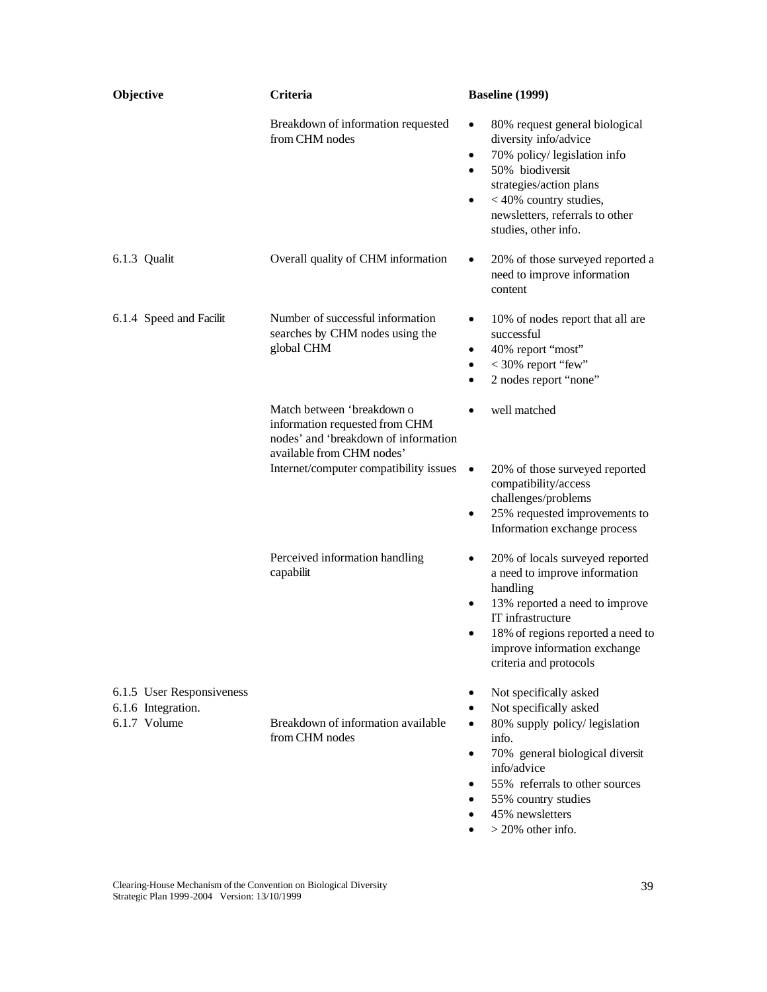| Objective                                                       | Criteria                                                                                                                                                                    | Baseline (1999)                                                                                                                                                                                                                                                                                              |
|-----------------------------------------------------------------|-----------------------------------------------------------------------------------------------------------------------------------------------------------------------------|--------------------------------------------------------------------------------------------------------------------------------------------------------------------------------------------------------------------------------------------------------------------------------------------------------------|
|                                                                 | Breakdown of information requested<br>from CHM nodes                                                                                                                        | 80% request general biological<br>diversity info/advice<br>70% policy/ legislation info<br>٠<br>50% biodiversit<br>strategies/action plans<br>$<$ 40% country studies,<br>newsletters, referrals to other<br>studies, other info.                                                                            |
| 6.1.3 Qualit                                                    | Overall quality of CHM information                                                                                                                                          | 20% of those surveyed reported a<br>٠<br>need to improve information<br>content                                                                                                                                                                                                                              |
| 6.1.4 Speed and Facilit                                         | Number of successful information<br>searches by CHM nodes using the<br>global CHM                                                                                           | 10% of nodes report that all are<br>$\bullet$<br>successful<br>40% report "most"<br>٠<br>$<$ 30% report "few"<br>$\bullet$<br>2 nodes report "none"                                                                                                                                                          |
|                                                                 | Match between 'breakdown o<br>information requested from CHM<br>nodes' and 'breakdown of information<br>available from CHM nodes'<br>Internet/computer compatibility issues | well matched<br>20% of those surveyed reported<br>$\bullet$<br>compatibility/access<br>challenges/problems<br>25% requested improvements to<br>Information exchange process                                                                                                                                  |
|                                                                 | Perceived information handling<br>capabilit                                                                                                                                 | 20% of locals surveyed reported<br>$\bullet$<br>a need to improve information<br>handling<br>13% reported a need to improve<br>$\bullet$<br>IT infrastructure<br>18% of regions reported a need to<br>$\bullet$<br>improve information exchange<br>criteria and protocols                                    |
| 6.1.5 User Responsiveness<br>6.1.6 Integration.<br>6.1.7 Volume | Breakdown of information available<br>from CHM nodes                                                                                                                        | Not specifically asked<br>٠<br>Not specifically asked<br>$\bullet$<br>80% supply policy/ legislation<br>$\bullet$<br>info.<br>70% general biological diversit<br>$\bullet$<br>info/advice<br>55% referrals to other sources<br>$\bullet$<br>55% country studies<br>$\bullet$<br>45% newsletters<br>$\bullet$ |

 $\bullet$  > 20% other info.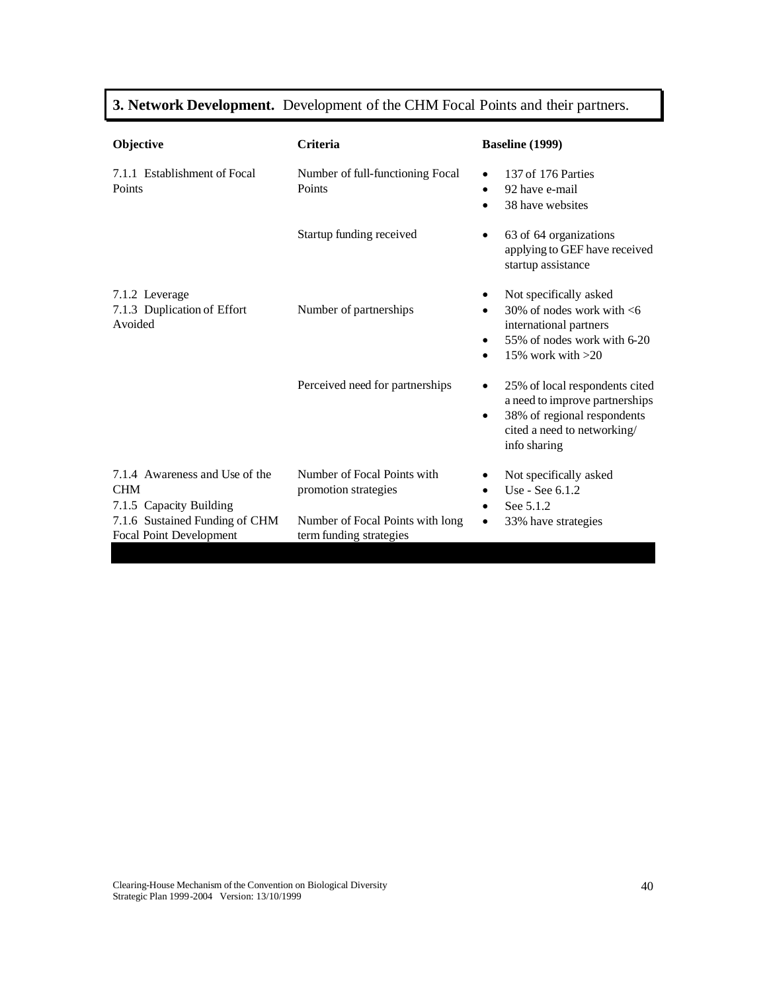| Objective                                                               | <b>Criteria</b>                                             | <b>Baseline</b> (1999)                                                                                                                                    |
|-------------------------------------------------------------------------|-------------------------------------------------------------|-----------------------------------------------------------------------------------------------------------------------------------------------------------|
| 7.1.1 Establishment of Focal<br>Points                                  | Number of full-functioning Focal<br>Points                  | 137 of 176 Parties<br>$\bullet$<br>92 have e-mail<br>$\bullet$<br>38 have websites<br>$\bullet$                                                           |
|                                                                         | Startup funding received                                    | 63 of 64 organizations<br>٠<br>applying to GEF have received<br>startup assistance                                                                        |
| 7.1.2 Leverage<br>7.1.3 Duplication of Effort<br>Avoided                | Number of partnerships                                      | Not specifically asked<br>٠<br>30% of nodes work with $<6$<br>٠<br>international partners<br>55% of nodes work with 6-20<br>٠<br>15% work with $>20$<br>٠ |
|                                                                         | Perceived need for partnerships                             | 25% of local respondents cited<br>٠<br>a need to improve partnerships<br>38% of regional respondents<br>٠<br>cited a need to networking/<br>info sharing  |
| 7.1.4 Awareness and Use of the<br><b>CHM</b><br>7.1.5 Capacity Building | Number of Focal Points with<br>promotion strategies         | Not specifically asked<br>Use - See 6.1.2<br>٠<br>See 5.1.2<br>٠                                                                                          |
| 7.1.6 Sustained Funding of CHM<br>Focal Point Development               | Number of Focal Points with long<br>term funding strategies | 33% have strategies                                                                                                                                       |

# **3. Network Development.** Development of the CHM Focal Points and their partners.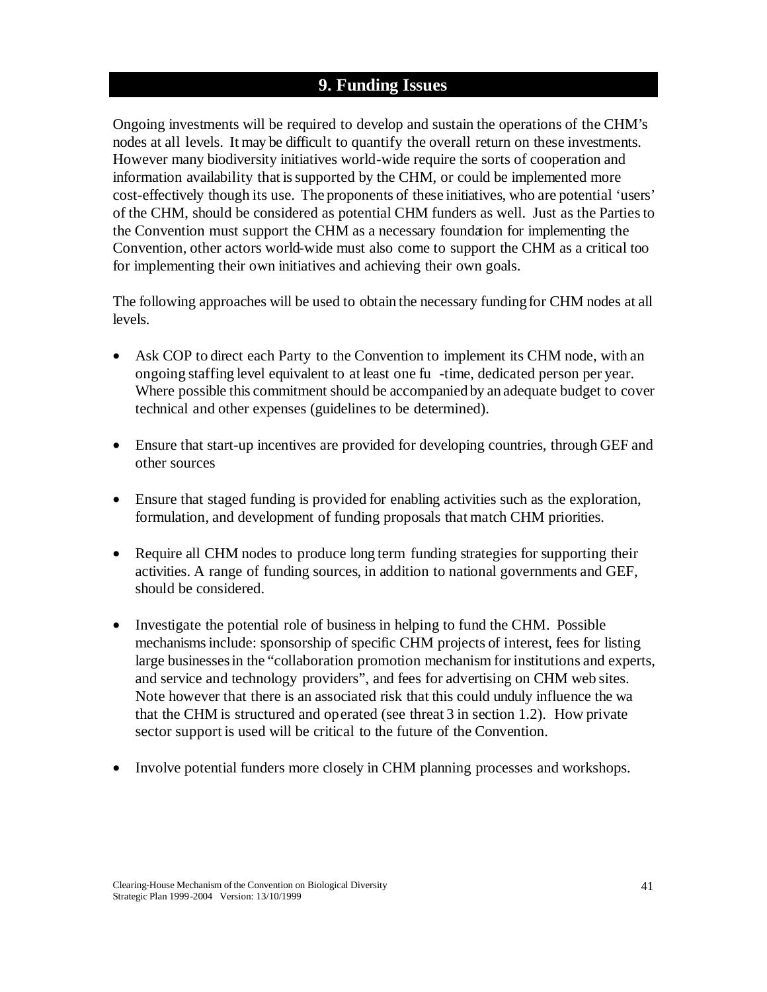# **9. Funding Issues**

Ongoing investments will be required to develop and sustain the operations of the CHM's nodes at all levels. It may be difficult to quantify the overall return on these investments. However many biodiversity initiatives world-wide require the sorts of cooperation and information availability that is supported by the CHM, or could be implemented more cost-effectively though its use. The proponents of these initiatives, who are potential 'users' of the CHM, should be considered as potential CHM funders as well. Just as the Parties to the Convention must support the CHM as a necessary foundation for implementing the Convention, other actors world-wide must also come to support the CHM as a critical too for implementing their own initiatives and achieving their own goals.

The following approaches will be used to obtain the necessary funding for CHM nodes at all levels.

- Ask COP to direct each Party to the Convention to implement its CHM node, with an ongoing staffing level equivalent to at least one fu -time, dedicated person per year. Where possible this commitment should be accompanied by an adequate budget to cover technical and other expenses (guidelines to be determined).
- Ensure that start-up incentives are provided for developing countries, through GEF and other sources
- Ensure that staged funding is provided for enabling activities such as the exploration, formulation, and development of funding proposals that match CHM priorities.
- Require all CHM nodes to produce long term funding strategies for supporting their activities. A range of funding sources, in addition to national governments and GEF, should be considered.
- Investigate the potential role of business in helping to fund the CHM. Possible mechanisms include: sponsorship of specific CHM projects of interest, fees for listing large businesses in the "collaboration promotion mechanism for institutions and experts, and service and technology providers", and fees for advertising on CHM web sites. Note however that there is an associated risk that this could unduly influence the wa that the CHM is structured and operated (see threat 3 in section 1.2). How private sector support is used will be critical to the future of the Convention.
- Involve potential funders more closely in CHM planning processes and workshops.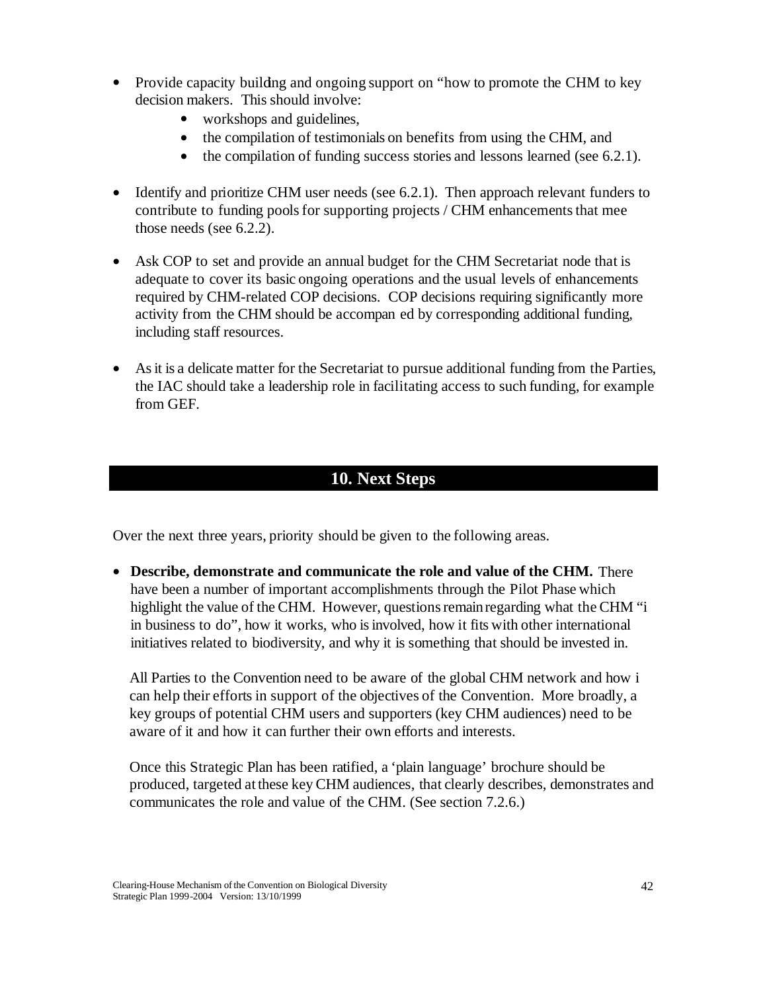- Provide capacity building and ongoing support on "how to promote the CHM to key" decision makers. This should involve:
	- workshops and guidelines,
	- the compilation of testimonials on benefits from using the CHM, and
	- the compilation of funding success stories and lessons learned (see 6.2.1).
- Identify and prioritize CHM user needs (see 6.2.1). Then approach relevant funders to contribute to funding pools for supporting projects / CHM enhancements that mee those needs (see 6.2.2).
- Ask COP to set and provide an annual budget for the CHM Secretariat node that is adequate to cover its basic ongoing operations and the usual levels of enhancements required by CHM-related COP decisions. COP decisions requiring significantly more activity from the CHM should be accompan ed by corresponding additional funding, including staff resources.
- As it is a delicate matter for the Secretariat to pursue additional funding from the Parties, the IAC should take a leadership role in facilitating access to such funding, for example from GEF.

# **10. Next Steps**

Over the next three years, priority should be given to the following areas.

• **Describe, demonstrate and communicate the role and value of the CHM.** There have been a number of important accomplishments through the Pilot Phase which highlight the value of the CHM. However, questions remain regarding what the CHM "i in business to do", how it works, who is involved, how it fits with other international initiatives related to biodiversity, and why it is something that should be invested in.

All Parties to the Convention need to be aware of the global CHM network and how i can help their efforts in support of the objectives of the Convention. More broadly, a key groups of potential CHM users and supporters (key CHM audiences) need to be aware of it and how it can further their own efforts and interests.

Once this Strategic Plan has been ratified, a 'plain language' brochure should be produced, targeted at these key CHM audiences, that clearly describes, demonstrates and communicates the role and value of the CHM. (See section 7.2.6.)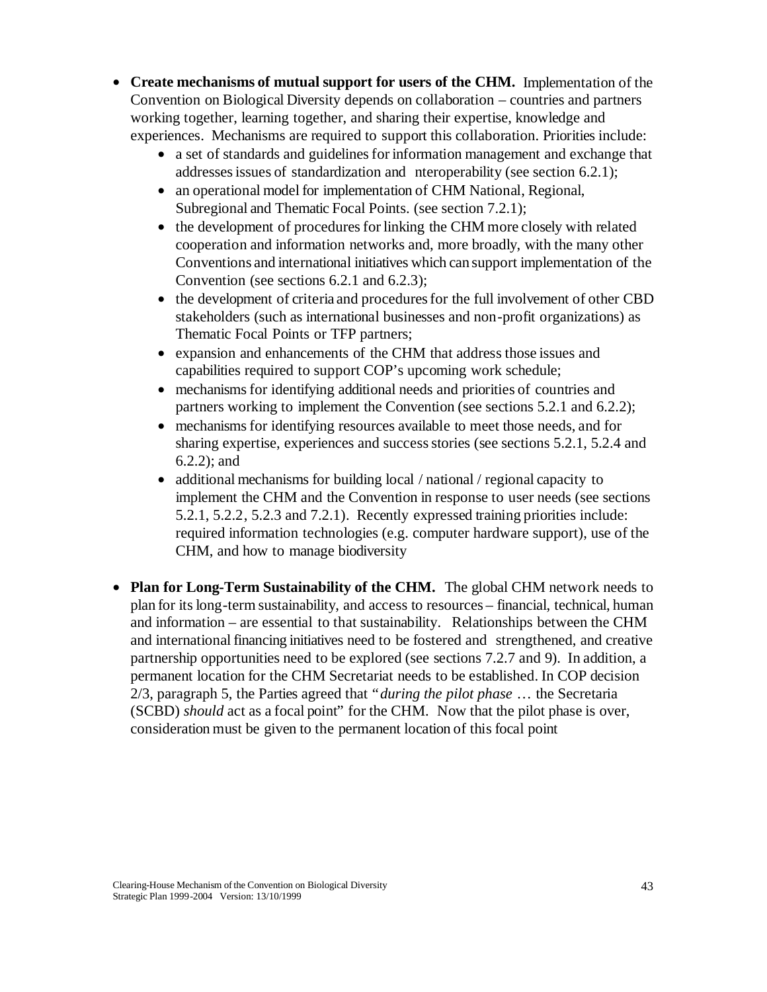- **Create mechanisms of mutual support for users of the CHM.** Implementation of the Convention on Biological Diversity depends on collaboration – countries and partners working together, learning together, and sharing their expertise, knowledge and experiences. Mechanisms are required to support this collaboration. Priorities include:
	- a set of standards and guidelines for information management and exchange that addresses issues of standardization and nteroperability (see section 6.2.1);
	- an operational model for implementation of CHM National, Regional, Subregional and Thematic Focal Points. (see section 7.2.1);
	- the development of procedures for linking the CHM more closely with related cooperation and information networks and, more broadly, with the many other Conventions and international initiatives which can support implementation of the Convention (see sections 6.2.1 and 6.2.3);
	- the development of criteria and procedures for the full involvement of other CBD stakeholders (such as international businesses and non-profit organizations) as Thematic Focal Points or TFP partners;
	- expansion and enhancements of the CHM that address those issues and capabilities required to support COP's upcoming work schedule;
	- mechanisms for identifying additional needs and priorities of countries and partners working to implement the Convention (see sections 5.2.1 and 6.2.2);
	- mechanisms for identifying resources available to meet those needs, and for sharing expertise, experiences and success stories (see sections 5.2.1, 5.2.4 and 6.2.2); and
	- additional mechanisms for building local / national / regional capacity to implement the CHM and the Convention in response to user needs (see sections 5.2.1, 5.2.2, 5.2.3 and 7.2.1). Recently expressed training priorities include: required information technologies (e.g. computer hardware support), use of the CHM, and how to manage biodiversity
- **Plan for Long-Term Sustainability of the CHM.** The global CHM network needs to plan for its long-term sustainability, and access to resources – financial, technical, human and information – are essential to that sustainability. Relationships between the CHM and international financing initiatives need to be fostered and strengthened, and creative partnership opportunities need to be explored (see sections 7.2.7 and 9). In addition, a permanent location for the CHM Secretariat needs to be established. In COP decision 2/3, paragraph 5, the Parties agreed that "*during the pilot phase* … the Secretaria (SCBD) *should* act as a focal point" for the CHM. Now that the pilot phase is over, consideration must be given to the permanent location of this focal point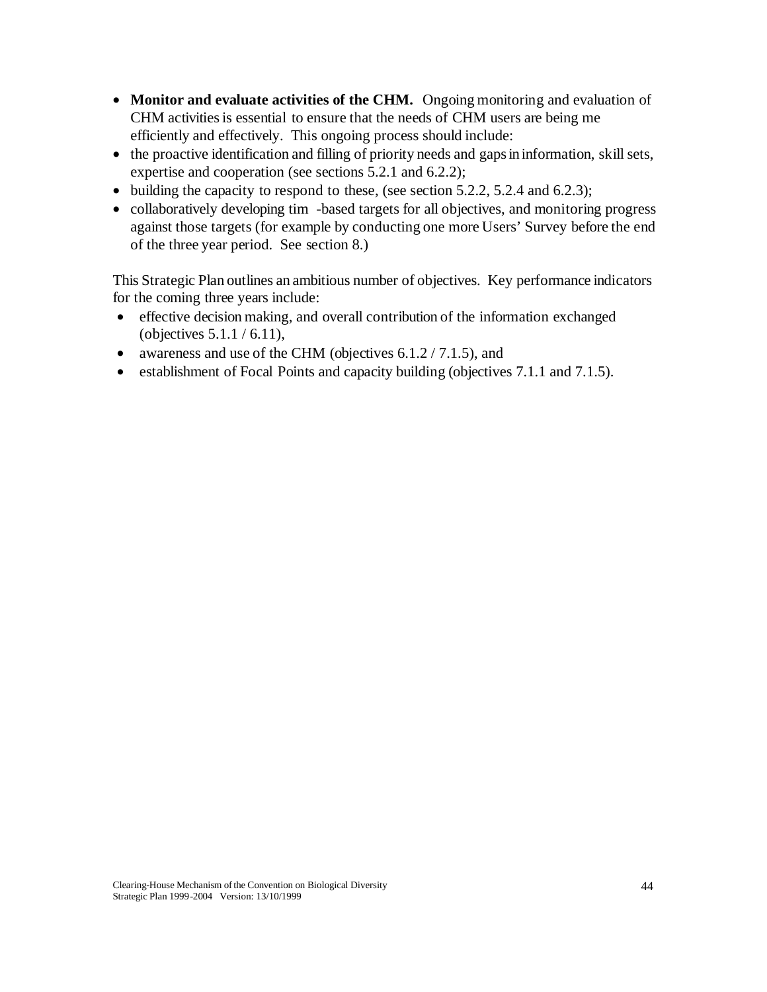- **Monitor and evaluate activities of the CHM.** Ongoing monitoring and evaluation of CHM activities is essential to ensure that the needs of CHM users are being me efficiently and effectively. This ongoing process should include:
- the proactive identification and filling of priority needs and gaps in information, skill sets, expertise and cooperation (see sections 5.2.1 and 6.2.2);
- building the capacity to respond to these, (see section  $5.2.2$ ,  $5.2.4$  and  $6.2.3$ );
- collaboratively developing tim -based targets for all objectives, and monitoring progress against those targets (for example by conducting one more Users' Survey before the end of the three year period. See section 8.)

This Strategic Plan outlines an ambitious number of objectives. Key performance indicators for the coming three years include:

- effective decision making, and overall contribution of the information exchanged (objectives 5.1.1 / 6.11),
- awareness and use of the CHM (objectives  $6.1.2 / 7.1.5$ ), and
- establishment of Focal Points and capacity building (objectives 7.1.1 and 7.1.5).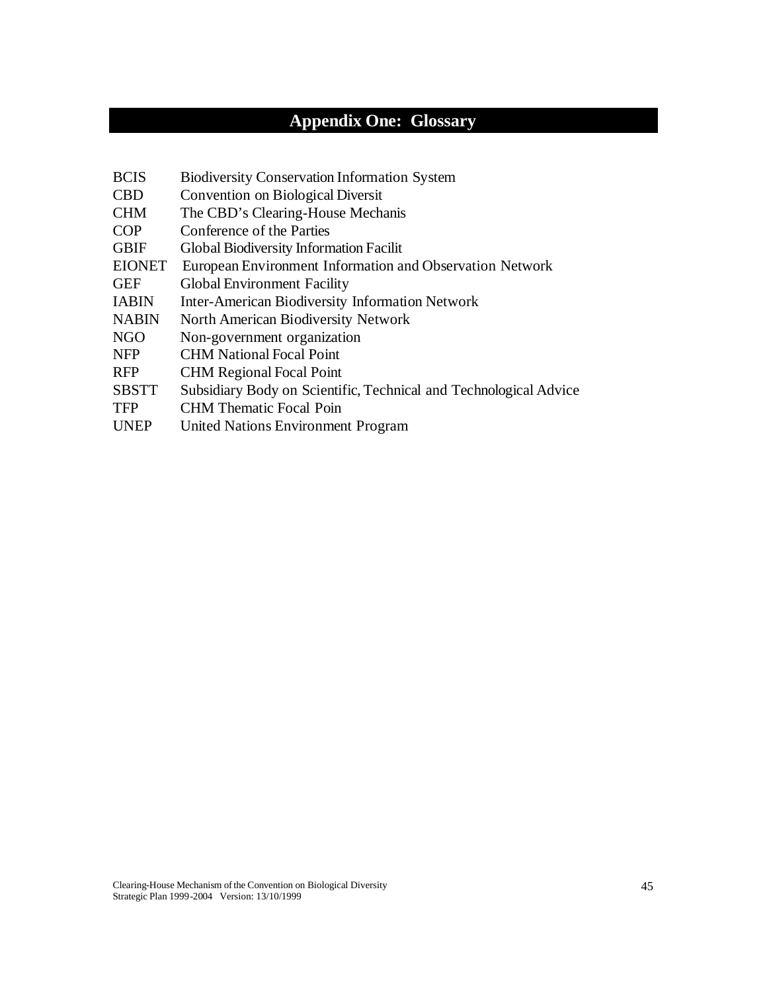# **Appendix One: Glossary**

| <b>Biodiversity Conservation Information System</b>                |  |
|--------------------------------------------------------------------|--|
| Convention on Biological Diversit                                  |  |
| The CBD's Clearing-House Mechanis                                  |  |
| Conference of the Parties                                          |  |
| Global Biodiversity Information Facilit                            |  |
| EIONET<br>European Environment Information and Observation Network |  |
| <b>Global Environment Facility</b>                                 |  |
| <b>Inter-American Biodiversity Information Network</b>             |  |
| <b>North American Biodiversity Network</b>                         |  |
| Non-government organization                                        |  |
| <b>CHM National Focal Point</b>                                    |  |
| <b>CHM Regional Focal Point</b>                                    |  |
| Subsidiary Body on Scientific, Technical and Technological Advice  |  |
| <b>CHM</b> Thematic Focal Poin                                     |  |
| United Nations Environment Program                                 |  |
|                                                                    |  |